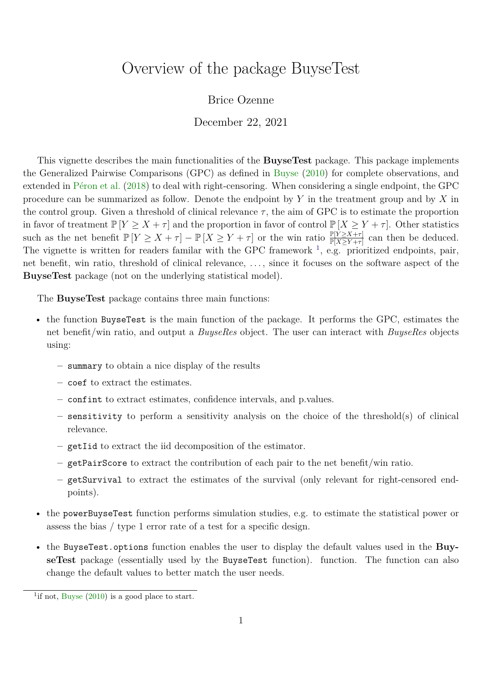# <span id="page-0-0"></span>Overview of the package BuyseTest

## Brice Ozenne

December 22, 2021

This vignette describes the main functionalities of the **BuyseTest** package. This package implements the Generalized Pairwise Comparisons (GPC) as defined in [Buyse](#page-32-0) [\(2010\)](#page-32-0) for complete observations, and extended in [Péron et al.](#page-32-1) [\(2018\)](#page-32-1) to deal with right-censoring. When considering a single endpoint, the GPC procedure can be summarized as follow. Denote the endpoint by *Y* in the treatment group and by *X* in the control group. Given a threshold of clinical relevance  $\tau$ , the aim of GPC is to estimate the proportion in favor of treatment  $\mathbb{P}[Y \geq X + \tau]$  and the proportion in favor of control  $\mathbb{P}[X \geq Y + \tau]$ . Other statistics such as the net benefit  $\mathbb{P}[Y \geq X + \tau] - \mathbb{P}[X \geq Y + \tau]$  or the win ratio  $\frac{\mathbb{P}[Y \geq X + \tau]}{\mathbb{P}[X \geq Y + \tau]}$  can then be deduced. The vignette is written for readers familar with the GPC framework  $\frac{1}{1}$ , e.g. prioritized endpoints, pair, net benefit, win ratio, threshold of clinical relevance, . . . , since it focuses on the software aspect of the **BuyseTest** package (not on the underlying statistical model).

The **BuyseTest** package contains three main functions:

- the function BuyseTest is the main function of the package. It performs the GPC, estimates the net benefit/win ratio, and output a *BuyseRes* object. The user can interact with *BuyseRes* objects using:
	- **–** summary to obtain a nice display of the results
	- **–** coef to extract the estimates.
	- **–** confint to extract estimates, confidence intervals, and p.values.
	- **–** sensitivity to perform a sensitivity analysis on the choice of the threshold(s) of clinical relevance.
	- **–** getIid to extract the iid decomposition of the estimator.
	- **–** getPairScore to extract the contribution of each pair to the net benefit/win ratio.
	- **–** getSurvival to extract the estimates of the survival (only relevant for right-censored endpoints).
- the powerBuyseTest function performs simulation studies, e.g. to estimate the statistical power or assess the bias / type 1 error rate of a test for a specific design.
- the BuyseTest.options function enables the user to display the default values used in the **BuyseTest** package (essentially used by the BuyseTest function). function. The function can also change the default values to better match the user needs.

<sup>&</sup>lt;sup>1</sup>if not, [Buyse](#page-32-0)  $(2010)$  is a good place to start.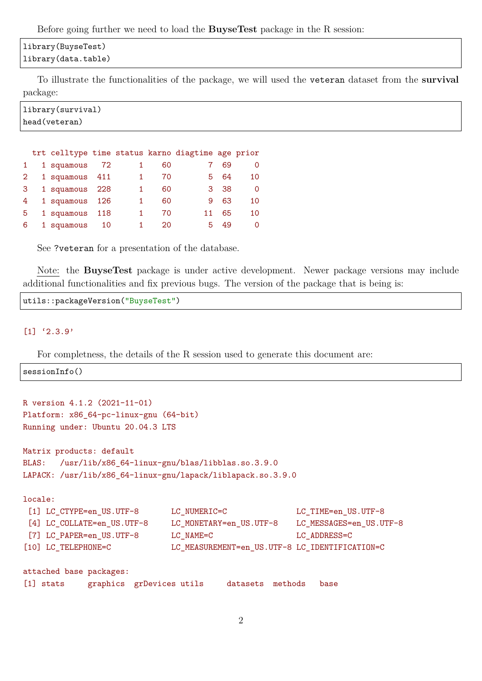Before going further we need to load the **BuyseTest** package in the R session:

### library(BuyseTest) library(data.table)

To illustrate the functionalities of the package, we will used the veteran dataset from the **survival** package:

```
library(survival)
head(veteran)
```

|   |                |       |    | trt celltype time status karno diagtime age prior |     |    |
|---|----------------|-------|----|---------------------------------------------------|-----|----|
|   | 1 squamous     | 72    | 60 |                                                   | 69  |    |
|   | 1 squamous 411 |       | 70 | 5.                                                | 64  | 10 |
| 3 | 1 squamous 228 |       | 60 | 3.                                                | -38 |    |
| 4 | 1 squamous 126 |       | 60 | 9                                                 | 63  | 10 |
| 5 | 1 squamous     | - 118 | 70 |                                                   | 65  | 10 |
| 6 | 1 squamous     | 10    | 20 |                                                   | 49  | Ω  |

See ?veteran for a presentation of the database.

Note: the **BuyseTest** package is under active development. Newer package versions may include additional functionalities and fix previous bugs. The version of the package that is being is:

```
utils::packageVersion("BuyseTest")
```
#### $[1]$  '2.3.9'

For completness, the details of the R session used to generate this document are:

sessionInfo()

```
R version 4.1.2 (2021-11-01)
Platform: x86_64-pc-linux-gnu (64-bit)
Running under: Ubuntu 20.04.3 LTS
Matrix products: default
BLAS: /usr/lib/x86_64-linux-gnu/blas/libblas.so.3.9.0
LAPACK: /usr/lib/x86_64-linux-gnu/lapack/liblapack.so.3.9.0
locale:
 [1] LC_CTYPE=en_US.UTF-8 LC_NUMERIC=C LC_TIME=en_US.UTF-8
 [4] LC_COLLATE=en_US.UTF-8 LC_MONETARY=en_US.UTF-8 LC_MESSAGES=en_US.UTF-8
 [7] LC PAPER=en US.UTF-8 LC NAME=C LC ADDRESS=C
[10] LC_TELEPHONE=C LC_MEASUREMENT=en_US.UTF-8 LC_IDENTIFICATION=C
attached base packages:
[1] stats graphics grDevices utils datasets methods base
```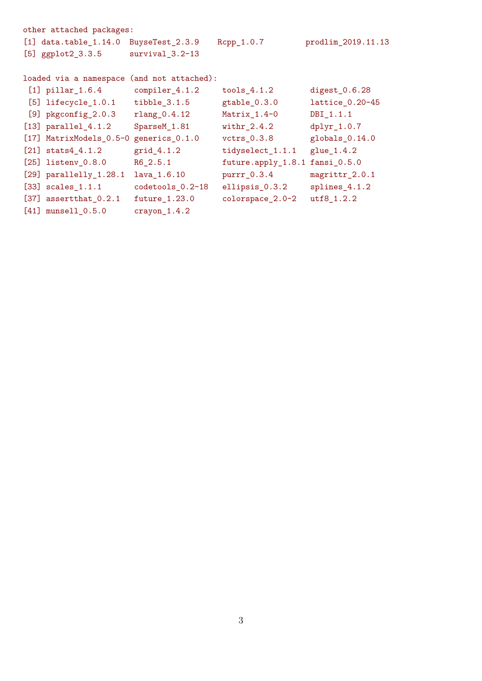```
other attached packages:
[1] data.table_1.14.0 BuyseTest_2.3.9 Rcpp_1.0.7 prodlim_2019.11.13
[5] ggplot2_3.3.5 survival_3.2-13
loaded via a namespace (and not attached):
[1] pillar_1.6.4 compiler_4.1.2 tools_4.1.2 digest_0.6.28
[5] lifecycle_1.0.1 tibble_3.1.5 gtable_0.3.0 lattice_0.20-45
[9] pkgconfig_2.0.3 rlang_0.4.12 Matrix_1.4-0 DBI_1.1.1
[13] parallel_4.1.2 SparseM_1.81 withr_2.4.2 dplyr_1.0.7
[17] MatrixModels_0.5-0 generics_0.1.0 vctrs_0.3.8 globals_0.14.0
[21] stats4_4.1.2 grid_4.1.2 tidyselect_1.1.1 glue_1.4.2
[25] listenv_0.8.0 R6_2.5.1 future.apply_1.8.1 fansi_0.5.0
[29] parallelly_1.28.1 lava_1.6.10    purrr_0.3.4    magrittr_2.0.1
[33] scales_1.1.1 codetools_0.2-18 ellipsis_0.3.2 splines_4.1.2
[37] assertthat_0.2.1 future_1.23.0 colorspace_2.0-2 utf8_1.2.2
[41] munsell 0.5.0 crayon 1.4.2
```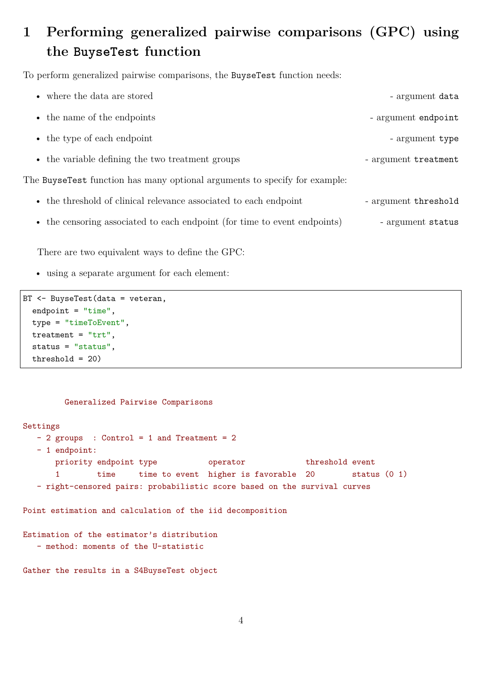# **1 Performing generalized pairwise comparisons (GPC) using the BuyseTest function**

To perform generalized pairwise comparisons, the BuyseTest function needs:

| • where the data are stored                                                | - argument data      |
|----------------------------------------------------------------------------|----------------------|
| • the name of the endpoints                                                | - argument endpoint  |
| • the type of each endpoint                                                | - argument type      |
| • the variable defining the two treatment groups                           | - argument treatment |
| The BuyseTest function has many optional arguments to specify for example: |                      |
| • the threshold of clinical relevance associated to each endpoint          | - argument threshold |
| • the censoring associated to each endpoint (for time to event endpoints)  | - argument status    |

There are two equivalent ways to define the GPC:

• using a separate argument for each element:

```
BT <- BuyseTest(data = veteran,
  endpoint = "time",
 type = "timeToEvent",
 treatment = "trt",
  status = "status",
 threshold = 20)
```
#### Generalized Pairwise Comparisons

```
Settings
  - 2 groups : Control = 1 and Treatment = 2
  - 1 endpoint:
      priority endpoint type operator threshold event
      1 time time to event higher is favorable 20 status (0 1)
  - right-censored pairs: probabilistic score based on the survival curves
Point estimation and calculation of the iid decomposition
Estimation of the estimator's distribution
  - method: moments of the U-statistic
Gather the results in a S4BuyseTest object
```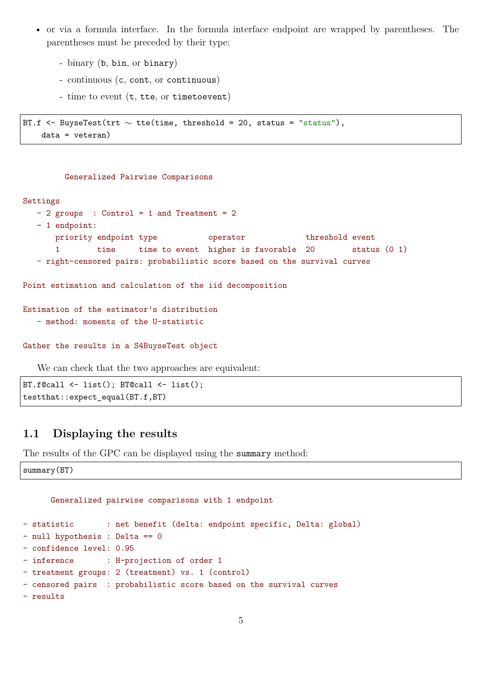- or via a formula interface. In the formula interface endpoint are wrapped by parentheses. The parentheses must be preceded by their type:
	- binary (b, bin, or binary)
	- continuous (c, cont, or continuous)
	- time to event (t, tte, or timetoevent)

```
BT.f <- BuyseTest(trt \sim tte(time, threshold = 20, status = "status"),
    data = veteran)
```
#### Generalized Pairwise Comparisons

#### Settings

```
- 2 groups : Control = 1 and Treatment = 2
  - 1 endpoint:
      priority endpoint type operator threshold event
      1 time time to event higher is favorable 20 status (0 1)
  - right-censored pairs: probabilistic score based on the survival curves
Point estimation and calculation of the iid decomposition
Estimation of the estimator's distribution
  - method: moments of the U-statistic
Gather the results in a S4BuyseTest object
```
We can check that the two approaches are equivalent:

```
BT.f@call <- list(); BT@call <- list();
testthat::expect_equal(BT.f,BT)
```
## **1.1 Displaying the results**

The results of the GPC can be displayed using the summary method:

summary(BT)

```
Generalized pairwise comparisons with 1 endpoint
- statistic : net benefit (delta: endpoint specific, Delta: global)
- null hypothesis : Delta == 0
- confidence level: 0.95
- inference : H-projection of order 1
- treatment groups: 2 (treatment) vs. 1 (control)
- censored pairs : probabilistic score based on the survival curves
- results
```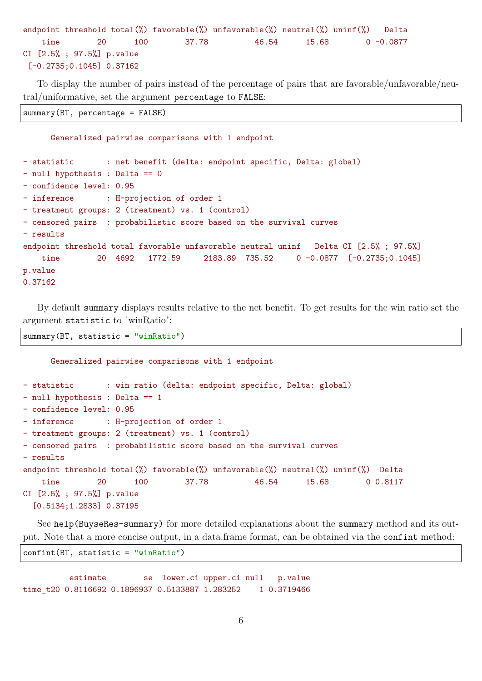```
endpoint threshold total(%) favorable(%) unfavorable(%) neutral(%) uninf(%) Delta
   time 20 100 37.78 46.54 15.68 0 -0.0877
CI [2.5% ; 97.5%] p.value
[-0.2735;0.1045] 0.37162
```
To display the number of pairs instead of the percentage of pairs that are favorable/unfavorable/neutral/uniformative, set the argument percentage to FALSE:

summary(BT, percentage = FALSE)

- results

```
Generalized pairwise comparisons with 1 endpoint
- statistic : net benefit (delta: endpoint specific, Delta: global)
```
- null hypothesis : Delta == 0 - confidence level: 0.95

- inference : H-projection of order 1

- treatment groups: 2 (treatment) vs. 1 (control)

- censored pairs : probabilistic score based on the survival curves

```
endpoint threshold total favorable unfavorable neutral uninf Delta CI [2.5% ; 97.5%]
   time 20 4692 1772.59 2183.89 735.52 0 -0.0877 [-0.2735;0.1045]
p.value
0.37162
```
By default summary displays results relative to the net benefit. To get results for the win ratio set the argument statistic to "winRatio":

summary(BT, statistic = "winRatio")

```
Generalized pairwise comparisons with 1 endpoint
- statistic : win ratio (delta: endpoint specific, Delta: global)
- null hypothesis : Delta == 1
- confidence level: 0.95
- inference : H-projection of order 1
- treatment groups: 2 (treatment) vs. 1 (control)
- censored pairs : probabilistic score based on the survival curves
- results
endpoint threshold total(%) favorable(%) unfavorable(%) neutral(%) uninf(%) Delta
   time 20 100 37.78 46.54 15.68 0 0.8117
CI [2.5% ; 97.5%] p.value
  [0.5134;1.2833] 0.37195
```
See help(BuyseRes-summary) for more detailed explanations about the summary method and its output. Note that a more concise output, in a data.frame format, can be obtained via the confint method:

confint(BT, statistic = "winRatio")

estimate se lower.ci upper.ci null p.value time\_t20 0.8116692 0.1896937 0.5133887 1.283252 1 0.3719466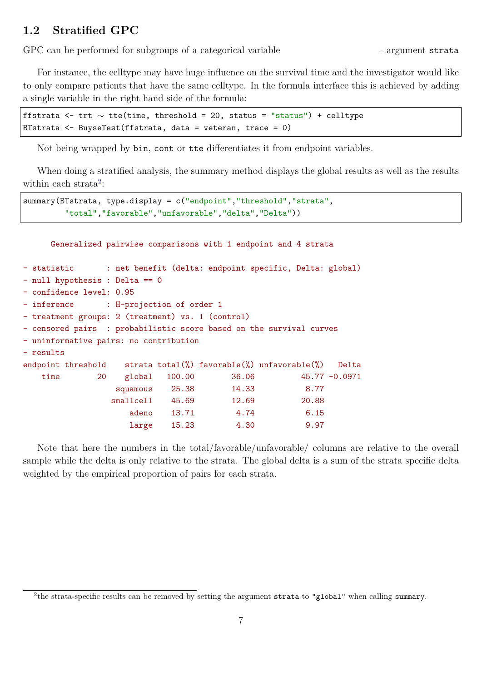## **1.2 Stratified GPC**

GPC can be performed for subgroups of a categorical variable - argument strata

For instance, the celltype may have huge influence on the survival time and the investigator would like to only compare patients that have the same celltype. In the formula interface this is achieved by adding a single variable in the right hand side of the formula:

```
ffstrata <- trt ∼ tte(time, threshold = 20, status = "status") + celltype
BTstrata <- BuyseTest(ffstrata, data = veteran, trace = 0)
```
Not being wrapped by bin, cont or tte differentiates it from endpoint variables.

When doing a stratified analysis, the summary method displays the global results as well as the results within each strata<sup>[2](#page-0-0)</sup>:

```
summary(BTstrata, type.display = c("endpoint","threshold","strata",
         "total","favorable","unfavorable","delta","Delta"))
```
Generalized pairwise comparisons with 1 endpoint and 4 strata - statistic : net benefit (delta: endpoint specific, Delta: global) - null hypothesis : Delta == 0 - confidence level: 0.95 - inference : H-projection of order 1 - treatment groups: 2 (treatment) vs. 1 (control) - censored pairs : probabilistic score based on the survival curves - uninformative pairs: no contribution - results endpoint threshold strata total(%) favorable(%) unfavorable(%) Delta time 20 global 100.00 36.06 45.77 -0.0971 squamous 25.38 14.33 8.77 smallcell 45.69 12.69 20.88 adeno 13.71 4.74 6.15 large 15.23 4.30 9.97

Note that here the numbers in the total/favorable/unfavorable/ columns are relative to the overall sample while the delta is only relative to the strata. The global delta is a sum of the strata specific delta weighted by the empirical proportion of pairs for each strata.

<sup>&</sup>lt;sup>2</sup>the strata-specific results can be removed by setting the argument strata to "global" when calling summary.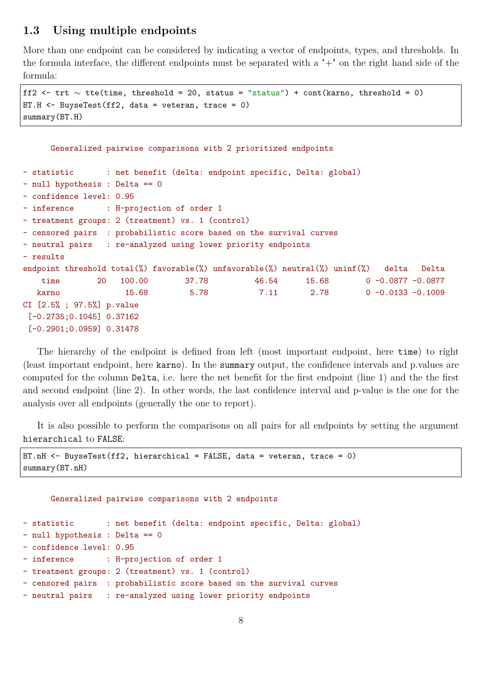## **1.3 Using multiple endpoints**

More than one endpoint can be considered by indicating a vector of endpoints, types, and thresholds. In the formula interface, the different endpoints must be separated with a  $+$ " on the right hand side of the formula:

```
ff2 <- trt ∼ tte(time, threshold = 20, status = "status") + cont(karno, threshold = 0)
BT.H <- BuyseTest(ff2, data = veteran, trace = 0)
summary(BT.H)
```

```
Generalized pairwise comparisons with 2 prioritized endpoints
- statistic : net benefit (delta: endpoint specific, Delta: global)
- null hypothesis : Delta == 0
- confidence level: 0.95
- inference : H-projection of order 1
- treatment groups: 2 (treatment) vs. 1 (control)
- censored pairs : probabilistic score based on the survival curves
- neutral pairs : re-analyzed using lower priority endpoints
- results
endpoint threshold total(%) favorable(%) unfavorable(%) neutral(%) uninf(%) delta Delta
   time 20 100.00 37.78 46.54 15.68 0 -0.0877 -0.0877
  karno 15.68 5.78 7.11 2.78 0-0.0133 -0.1009
CI [2.5% ; 97.5%] p.value
[-0.2735;0.1045] 0.37162
[-0.2901;0.0959] 0.31478
```
The hierarchy of the endpoint is defined from left (most important endpoint, here time) to right (least important endpoint, here karno). In the summary output, the confidence intervals and p.values are computed for the column Delta, i.e. here the net benefit for the first endpoint (line 1) and the the first and second endpoint (line 2). In other words, the last confidence interval and p-value is the one for the analysis over all endpoints (generally the one to report).

It is also possible to perform the comparisons on all pairs for all endpoints by setting the argument hierarchical to FALSE:

```
BT.nH <- BuyseTest(ff2, hierarchical = FALSE, data = veteran, trace = 0)
summary(BT.nH)
```
Generalized pairwise comparisons with 2 endpoints

```
- statistic : net benefit (delta: endpoint specific, Delta: global)
- null hypothesis : Delta == 0
- confidence level: 0.95
- inference : H-projection of order 1
- treatment groups: 2 (treatment) vs. 1 (control)
- censored pairs : probabilistic score based on the survival curves
- neutral pairs : re-analyzed using lower priority endpoints
```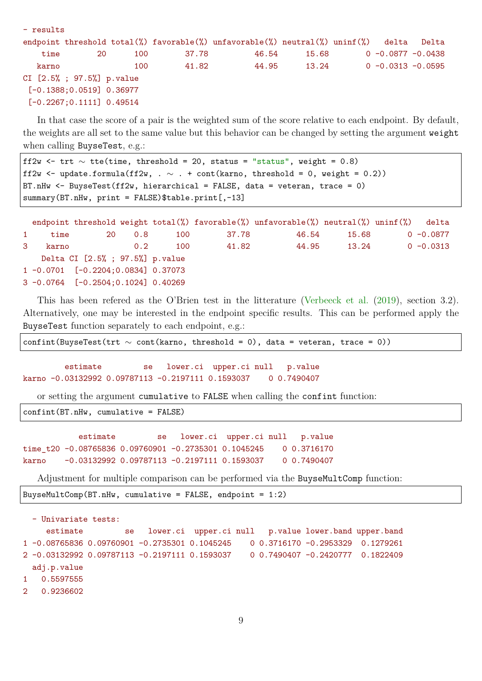| $-$ results |                             |     |       |                                                                                   |       |  |                       |       |  |  |  |
|-------------|-----------------------------|-----|-------|-----------------------------------------------------------------------------------|-------|--|-----------------------|-------|--|--|--|
|             |                             |     |       | endpoint threshold total(%) favorable(%) unfavorable(%) neutral(%) uninf(%) delta |       |  |                       | Delta |  |  |  |
| time        | -20                         | 100 | 37.78 | 46.54                                                                             | 15.68 |  | $0 - 0.0877 - 0.0438$ |       |  |  |  |
| karno       |                             | 100 | 41.82 | 44.95                                                                             | 13.24 |  | $0 - 0.0313 - 0.0595$ |       |  |  |  |
|             | CI [2.5% ; 97.5%] p.value   |     |       |                                                                                   |       |  |                       |       |  |  |  |
|             | $[-0.1388; 0.0519]$ 0.36977 |     |       |                                                                                   |       |  |                       |       |  |  |  |
|             | $[-0.2267; 0.1111]$ 0.49514 |     |       |                                                                                   |       |  |                       |       |  |  |  |

In that case the score of a pair is the weighted sum of the score relative to each endpoint. By default, the weights are all set to the same value but this behavior can be changed by setting the argument weight when calling BuyseTest, e.g.:

```
ff2w <- trt \sim tte(time, threshold = 20, status = "status", weight = 0.8)
ff2w \leftarrow update.formula(ff2w, . \sim . + cont(karno, threshold = 0, weight = 0.2))
BT.nHw <- BuyseTest(ff2w, hierarchical = FALSE, data = veteran, trace = 0)
summary(BT.nHw, print = FALSE)$table.print[,-13]
```

|   |       |                                          |          |     |       | endpoint threshold weight total(%) favorable(%) unfavorable(%) neutral(%) uninf(%) |       | delta        |
|---|-------|------------------------------------------|----------|-----|-------|------------------------------------------------------------------------------------|-------|--------------|
|   | time  |                                          | 20   0.8 | 100 | 37.78 | 46.54                                                                              | 15.68 | $0 - 0.0877$ |
| 3 | karno |                                          | 0.2      | 100 | 41.82 | 44.95                                                                              | 13.24 | $0 - 0.0313$ |
|   |       | Delta CI [2.5%; 97.5%] p. value          |          |     |       |                                                                                    |       |              |
|   |       | $1 - 0.0701$ $[-0.2204; 0.0834]$ 0.37073 |          |     |       |                                                                                    |       |              |
|   |       | $3 -0.0764$ $[-0.2504; 0.1024]$ 0.40269  |          |     |       |                                                                                    |       |              |

This has been refered as the O'Brien test in the litterature [\(Verbeeck et al.](#page-32-2) [\(2019\)](#page-32-2), section 3.2). Alternatively, one may be interested in the endpoint specific results. This can be performed apply the BuyseTest function separately to each endpoint, e.g.:

confint(BuyseTest(trt  $\sim$  cont(karno, threshold = 0), data = veteran, trace = 0))

estimate se lower.ci upper.ci null p.value karno -0.03132992 0.09787113 -0.2197111 0.1593037 0 0.7490407

or setting the argument cumulative to FALSE when calling the confint function:

confint(BT.nHw, cumulative = FALSE)

```
estimate se lower.ci upper.ci null p.value
time t20 -0.08765836 0.09760901 -0.2735301 0.1045245 0 0.3716170
karno -0.03132992 0.09787113 -0.2197111 0.1593037 0 0.7490407
```
Adjustment for multiple comparison can be performed via the BuyseMultComp function:

```
BuyseMultComp(BT.nHw, cumulative = FALSE, endpoint = 1:2)
```

```
- Univariate tests:
    estimate se lower.ci upper.ci null p.value lower.band upper.band
1 -0.08765836 0.09760901 -0.2735301 0.1045245 0 0.3716170 -0.2953329 0.1279261
2 -0.03132992 0.09787113 -0.2197111 0.1593037 0 0.7490407 -0.2420777 0.1822409
 adj.p.value
1 0.5597555
```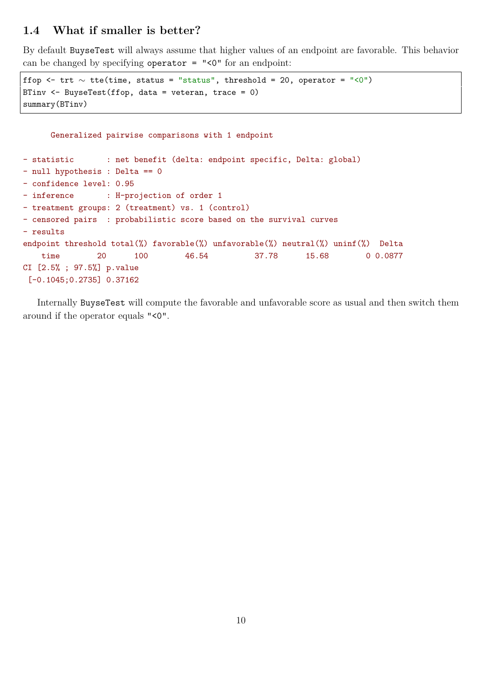## **1.4 What if smaller is better?**

By default BuyseTest will always assume that higher values of an endpoint are favorable. This behavior can be changed by specifying operator = "<0" for an endpoint:

```
ffop <- trt \sim tte(time, status = "status", threshold = 20, operator = "<0")
BTinv <- BuyseTest(ffop, data = veteran, trace = 0)
summary(BTinv)
```

```
Generalized pairwise comparisons with 1 endpoint
- statistic : net benefit (delta: endpoint specific, Delta: global)
- null hypothesis : Delta == 0
- confidence level: 0.95
- inference : H-projection of order 1
- treatment groups: 2 (treatment) vs. 1 (control)
- censored pairs : probabilistic score based on the survival curves
- results
endpoint threshold total(%) favorable(%) unfavorable(%) neutral(%) uninf(%) Delta
   time 20 100 46.54 37.78 15.68 0 0.0877
CI [2.5% ; 97.5%] p.value
 [-0.1045;0.2735] 0.37162
```
Internally BuyseTest will compute the favorable and unfavorable score as usual and then switch them around if the operator equals "<0".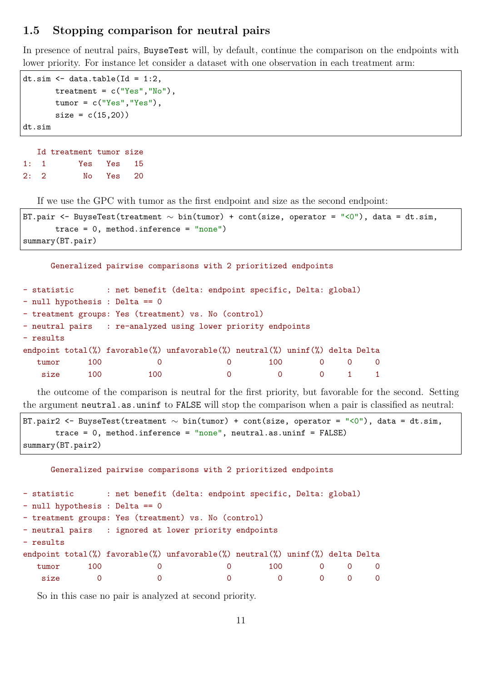## **1.5 Stopping comparison for neutral pairs**

In presence of neutral pairs, BuyseTest will, by default, continue the comparison on the endpoints with lower priority. For instance let consider a dataset with one observation in each treatment arm:

```
dt.sim \leq data.table(Id = 1:2,
       treatment = c("Yes", "No"),
       tumor = c("Yes", "Yes"),
       size = c(15, 20)dt.sim
```

```
Id treatment tumor size
1: 1 Yes Yes 15
2: 2 No Yes 20
```
If we use the GPC with tumor as the first endpoint and size as the second endpoint:

```
BT.pair <- BuyseTest(treatment ∼ bin(tumor) + cont(size, operator = "<0"), data = dt.sim,
      trace = 0, method.inference = "none")
summary(BT.pair)
```

```
- statistic : net benefit (delta: endpoint specific, Delta: global)
- null hypothesis : Delta == 0
- treatment groups: Yes (treatment) vs. No (control)
- neutral pairs : re-analyzed using lower priority endpoints
- results
endpoint total(%) favorable(%) unfavorable(%) neutral(%) uninf(%) delta Delta
  tumor 100 0 0 100 0 0 0
   size 100 100 0 0 0 1 1
```
Generalized pairwise comparisons with 2 prioritized endpoints

the outcome of the comparison is neutral for the first priority, but favorable for the second. Setting the argument neutral.as.uninf to FALSE will stop the comparison when a pair is classified as neutral:

```
BT.pair2 <- BuyseTest(treatment ∼ bin(tumor) + cont(size, operator = "<0"), data = dt.sim,
       trace = 0, method.inference = "none", neutral.as.uninf = FALSE)
summary(BT.pair2)
```
Generalized pairwise comparisons with 2 prioritized endpoints

```
- statistic : net benefit (delta: endpoint specific, Delta: global)
- null hypothesis : Delta == 0
- treatment groups: Yes (treatment) vs. No (control)
- neutral pairs : ignored at lower priority endpoints
- results
endpoint total(%) favorable(%) unfavorable(%) neutral(%) uninf(%) delta Delta
  tumor 100 0 0 100 0 0 0
   size 0 0 0 0 0 0 0 0
```
So in this case no pair is analyzed at second priority.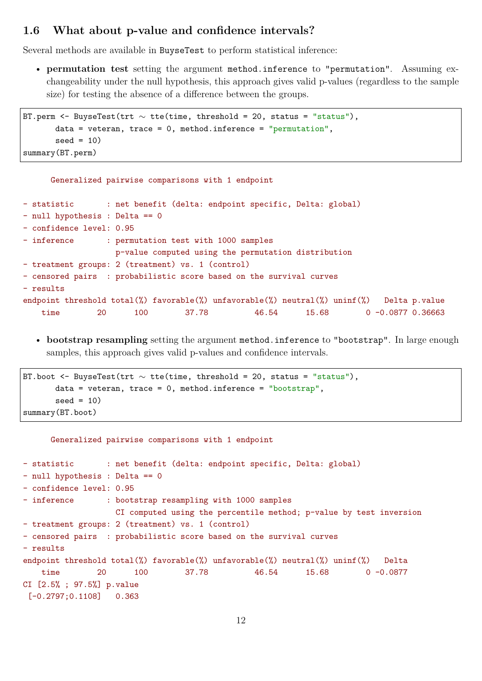## **1.6 What about p-value and confidence intervals?**

Several methods are available in BuyseTest to perform statistical inference:

• **permutation test** setting the argument method.inference to "permutation". Assuming exchangeability under the null hypothesis, this approach gives valid p-values (regardless to the sample size) for testing the absence of a difference between the groups.

```
BT.perm <- BuyseTest(trt ∼ tte(time, threshold = 20, status = "status"),
       data = veteran, trace = 0, method.inference = "permutation",
       seed = 10)
summary(BT.perm)
```
Generalized pairwise comparisons with 1 endpoint

```
- statistic : net benefit (delta: endpoint specific, Delta: global)
- null hypothesis : Delta == 0
- confidence level: 0.95
- inference : permutation test with 1000 samples
                 p-value computed using the permutation distribution
- treatment groups: 2 (treatment) vs. 1 (control)
- censored pairs : probabilistic score based on the survival curves
- results
endpoint threshold total(%) favorable(%) unfavorable(%) neutral(%) uninf(%) Delta p.value
   time 20 100 37.78 46.54 15.68 0 -0.0877 0.36663
```
• **bootstrap resampling** setting the argument method.inference to "bootstrap". In large enough samples, this approach gives valid p-values and confidence intervals.

```
BT.boot <- BuyseTest(trt \sim tte(time, threshold = 20, status = "status"),
       data = veteran, trace = 0, method.inference = "bootstrap",seed = 10)
summary(BT.boot)
```
Generalized pairwise comparisons with 1 endpoint

```
- statistic : net benefit (delta: endpoint specific, Delta: global)
- null hypothesis : Delta == 0
- confidence level: 0.95
- inference : bootstrap resampling with 1000 samples
                  CI computed using the percentile method; p-value by test inversion
- treatment groups: 2 (treatment) vs. 1 (control)
- censored pairs : probabilistic score based on the survival curves
- results
endpoint threshold total(%) favorable(%) unfavorable(%) neutral(%) uninf(%) Delta
   time 20 100 37.78 46.54 15.68 0 -0.0877
CI [2.5% ; 97.5%] p.value
 [-0.2797;0.1108] 0.363
```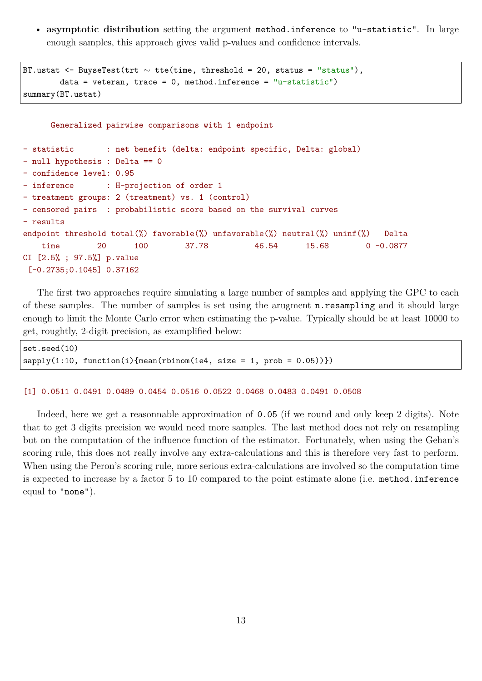• **asymptotic distribution** setting the argument method.inference to "u-statistic". In large enough samples, this approach gives valid p-values and confidence intervals.

```
BT.ustat <- BuyseTest(trt \sim tte(time, threshold = 20, status = "status"),
        data = veteran, trace = 0, method.inference = "u-statistic")
summary(BT.ustat)
```

```
Generalized pairwise comparisons with 1 endpoint
- statistic : net benefit (delta: endpoint specific, Delta: global)
- null hypothesis : Delta == 0
- confidence level: 0.95
- inference : H-projection of order 1
- treatment groups: 2 (treatment) vs. 1 (control)
- censored pairs : probabilistic score based on the survival curves
- results
endpoint threshold total(%) favorable(%) unfavorable(%) neutral(%) uninf(%) Delta
   time 20 100 37.78 46.54 15.68 0 -0.0877
CI [2.5% ; 97.5%] p.value
 [-0.2735;0.1045] 0.37162
```
The first two approaches require simulating a large number of samples and applying the GPC to each of these samples. The number of samples is set using the arugment n.resampling and it should large enough to limit the Monte Carlo error when estimating the p-value. Typically should be at least 10000 to get, roughtly, 2-digit precision, as examplified below:

```
set.seed(10)
sapply(1:10, function(i){mean(rbinom(1e4, size = 1, prob = 0.05))})
```
#### [1] 0.0511 0.0491 0.0489 0.0454 0.0516 0.0522 0.0468 0.0483 0.0491 0.0508

Indeed, here we get a reasonnable approximation of 0.05 (if we round and only keep 2 digits). Note that to get 3 digits precision we would need more samples. The last method does not rely on resampling but on the computation of the influence function of the estimator. Fortunately, when using the Gehan's scoring rule, this does not really involve any extra-calculations and this is therefore very fast to perform. When using the Peron's scoring rule, more serious extra-calculations are involved so the computation time is expected to increase by a factor 5 to 10 compared to the point estimate alone (i.e. method.inference equal to "none").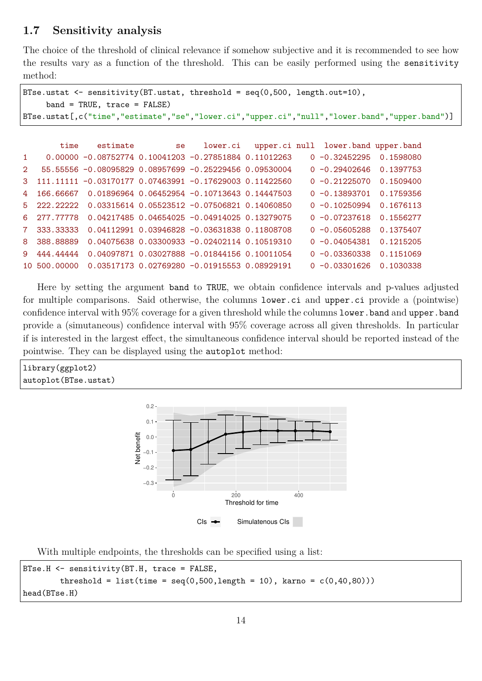## **1.7 Sensitivity analysis**

The choice of the threshold of clinical relevance if somehow subjective and it is recommended to see how the results vary as a function of the threshold. This can be easily performed using the sensitivity method:

```
BTse.ustat <- sensitivity(BT.ustat, threshold = seq(0,500, length.out=10),
    band = TRUE, trace = FALSE)BTse.ustat[,c("time","estimate","se","lower.ci","upper.ci","null","lower.band","upper.band")]
       time estimate se lower.ci upper.ci null lower.band upper.band
1 0.00000 -0.08752774 0.10041203 -0.27851884 0.11012263 0 -0.32452295 0.1598080
2 55.55556 -0.08095829 0.08957699 -0.25229456 0.09530004 0 -0.29402646 0.1397753
3 111.11111 -0.03170177 0.07463991 -0.17629003 0.11422560 0 -0.21225070 0.1509400
4 166.66667 0.01896964 0.06452954 -0.10713643 0.14447503 0 -0.13893701 0.1759356
5 222.22222 0.03315614 0.05523512 -0.07506821 0.14060850 0 -0.10250994 0.1676113
6 277.77778 0.04217485 0.04654025 -0.04914025 0.13279075 0 -0.07237618 0.1556277
7 333.33333 0.04112991 0.03946828 -0.03631838 0.11808708 0 -0.05605288 0.1375407
8 388.88889 0.04075638 0.03300933 -0.02402114 0.10519310 0 -0.04054381 0.1215205
9 444.44444 0.04097871 0.03027888 -0.01844156 0.10011054 0 -0.03360338 0.1151069
10 500.00000 0.03517173 0.02769280 -0.01915553 0.08929191 0 -0.03301626 0.1030338
```
Here by setting the argument band to TRUE, we obtain confidence intervals and p-values adjusted for multiple comparisons. Said otherwise, the columns lower.ci and upper.ci provide a (pointwise) confidence interval with 95% coverage for a given threshold while the columns lower.band and upper.band provide a (simutaneous) confidence interval with 95% coverage across all given thresholds. In particular if is interested in the largest effect, the simultaneous confidence interval should be reported instead of the pointwise. They can be displayed using the autoplot method:

library(ggplot2) autoplot(BTse.ustat)



With multiple endpoints, the thresholds can be specified using a list:

```
BTse.H <- sensitivity(BT.H, trace = FALSE,
        threshold = list(time = seq(0,500, length = 10), karno = c(0,40,80)))
head(BTse.H)
```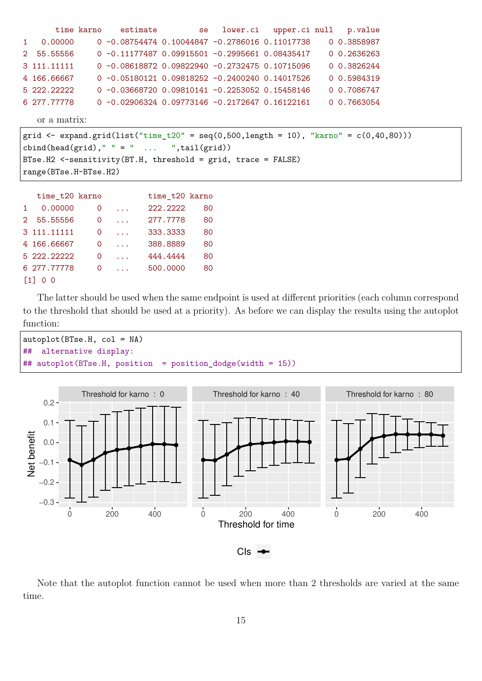|                       |                                                                                           | time karno     | estimate                                                                                                 |                | se | lower.ci                                           | upper.ci null |  | p.value     |  |  |  |
|-----------------------|-------------------------------------------------------------------------------------------|----------------|----------------------------------------------------------------------------------------------------------|----------------|----|----------------------------------------------------|---------------|--|-------------|--|--|--|
| $\mathbf{1}$          | 0.00000                                                                                   |                |                                                                                                          |                |    | $0 -0.08754474 0.10044847 -0.2786016 0.11017738$   |               |  | 0 0.3858987 |  |  |  |
| $2^{\circ}$           | 55.55556                                                                                  |                |                                                                                                          |                |    | $0 -0.111774870.09915501 -0.29956610.08435417$     |               |  | 0.2636263   |  |  |  |
|                       | 3 111.11111                                                                               |                |                                                                                                          |                |    | $0 - 0.08618872 0.09822940 - 0.2732475 0.10715096$ |               |  | 0 0.3826244 |  |  |  |
|                       | 4 166.66667                                                                               |                |                                                                                                          |                |    | $0 -0.05180121 0.09818252 -0.2400240 0.14017526$   |               |  | 0 0.5984319 |  |  |  |
|                       | 5 222.22222                                                                               |                |                                                                                                          |                |    | $0 -0.03668720 0.09810141 -0.2253052 0.15458146$   |               |  | 0 0.7086747 |  |  |  |
|                       | 6 277.77778                                                                               |                |                                                                                                          |                |    | $0 -0.02906324 0.09773146 -0.2172647 0.16122161$   |               |  | 0 0.7663054 |  |  |  |
|                       | or a matrix:                                                                              |                |                                                                                                          |                |    |                                                    |               |  |             |  |  |  |
|                       | grid <- expand.grid(list("time_t20" = seq(0,500,length = 10), "karno" = $c(0, 40, 80))$ ) |                |                                                                                                          |                |    |                                                    |               |  |             |  |  |  |
|                       |                                                                                           |                |                                                                                                          |                |    |                                                    |               |  |             |  |  |  |
|                       |                                                                                           |                | cbind(head(grid), " " = "  ",tail(grid))<br>BTse.H2 <-sensitivity(BT.H, threshold = grid, trace = FALSE) |                |    |                                                    |               |  |             |  |  |  |
| range(BTse.H-BTse.H2) |                                                                                           |                |                                                                                                          |                |    |                                                    |               |  |             |  |  |  |
|                       |                                                                                           |                |                                                                                                          |                |    |                                                    |               |  |             |  |  |  |
|                       |                                                                                           |                |                                                                                                          |                |    |                                                    |               |  |             |  |  |  |
|                       | time_t20 karno                                                                            |                |                                                                                                          | time_t20 karno |    |                                                    |               |  |             |  |  |  |
| 1.                    | 0.00000                                                                                   | $\overline{0}$ | $\mathbf{1}$                                                                                             | 222.2222       | 80 |                                                    |               |  |             |  |  |  |
| $2^{\circ}$           | 55.55556                                                                                  | $\overline{0}$ | $\mathbf{1}$                                                                                             | 277.7778       | 80 |                                                    |               |  |             |  |  |  |
|                       | 3 111.11111                                                                               | $\mathsf{O}$   | $\mathbf{1}$                                                                                             | 333.3333       | 80 |                                                    |               |  |             |  |  |  |
|                       | 4 166.66667                                                                               | $\mathbf{0}$   | $\sim 10$ km $^{-1}$                                                                                     | 388.8889       | 80 |                                                    |               |  |             |  |  |  |
|                       | 5 222.22222                                                                               | $\mathbf{0}$   | $\mathbf{1}$ , $\mathbf{1}$ , $\mathbf{1}$                                                               | 444.4444       | 80 |                                                    |               |  |             |  |  |  |

```
[1] 0 0
```
The latter should be used when the same endpoint is used at different priorities (each column correspond to the threshold that should be used at a priority). As before we can display the results using the autoplot function:





Note that the autoplot function cannot be used when more than 2 thresholds are varied at the same time.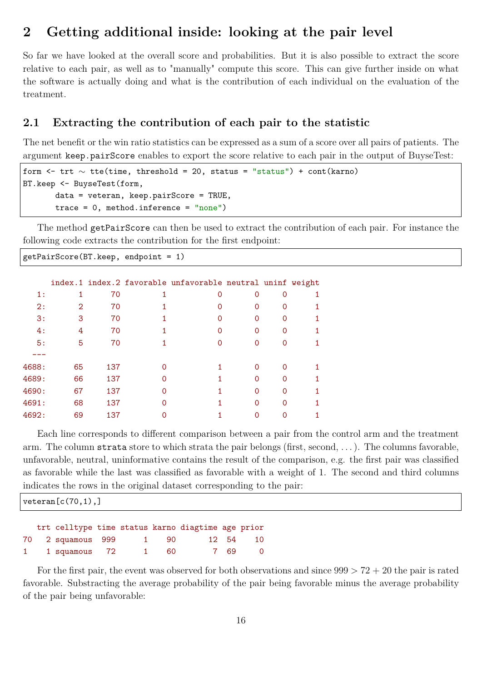## **2 Getting additional inside: looking at the pair level**

So far we have looked at the overall score and probabilities. But it is also possible to extract the score relative to each pair, as well as to "manually" compute this score. This can give further inside on what the software is actually doing and what is the contribution of each individual on the evaluation of the treatment.

## **2.1 Extracting the contribution of each pair to the statistic**

The net benefit or the win ratio statistics can be expressed as a sum of a score over all pairs of patients. The argument keep.pairScore enables to export the score relative to each pair in the output of BuyseTest:

```
form <- trt ∼ tte(time, threshold = 20, status = "status") + cont(karno)
BT.keep <- BuyseTest(form,
       data = veteran, keep.pairScore = TRUE,
       trace = 0, method.inference = "none")
```
The method getPairScore can then be used to extract the contribution of each pair. For instance the following code extracts the contribution for the first endpoint:

getPairScore(BT.keep, endpoint = 1)

|       |    |     | index.1 index.2 favorable unfavorable neutral uninf weight |          |          |  |
|-------|----|-----|------------------------------------------------------------|----------|----------|--|
| 1:    |    | 70  | Ω                                                          | Ω        | ∩        |  |
| 2:    | 2  | 70  |                                                            | Ω        | $\Omega$ |  |
| 3:    | 3  | 70  |                                                            | Ω        | O        |  |
| 4:    | 4  | 70  |                                                            | Ω        |          |  |
| 5:    | 5  | 70  |                                                            | Ω        |          |  |
|       |    |     |                                                            |          |          |  |
| 4688: | 65 | 137 |                                                            | O        |          |  |
| 4689: | 66 | 137 |                                                            | $\Omega$ |          |  |
| 4690: | 67 | 137 |                                                            | Ω        |          |  |
| 4691: | 68 | 137 |                                                            | Ω        |          |  |
| 4692: | 69 | 137 |                                                            |          |          |  |
|       |    |     |                                                            |          |          |  |

1 1 squamous 72 1 60 7 69 0

Each line corresponds to different comparison between a pair from the control arm and the treatment arm. The column strata store to which strata the pair belongs (first, second, . . . ). The columns favorable, unfavorable, neutral, uninformative contains the result of the comparison, e.g. the first pair was classified as favorable while the last was classified as favorable with a weight of 1. The second and third columns indicates the rows in the original dataset corresponding to the pair:

| $\vert$ veteran $\left[\mathrm{c}\left(70,1\right),\right]$ |                                                   |  |  |      |  |       |    |  |
|-------------------------------------------------------------|---------------------------------------------------|--|--|------|--|-------|----|--|
|                                                             | trt celltype time status karno diagtime age prior |  |  |      |  |       |    |  |
|                                                             | 70 2 squamous 999                                 |  |  | 1 90 |  | 12 54 | 10 |  |

For the first pair, the event was observed for both observations and since  $999 > 72 + 20$  the pair is rated favorable. Substracting the average probability of the pair being favorable minus the average probability of the pair being unfavorable: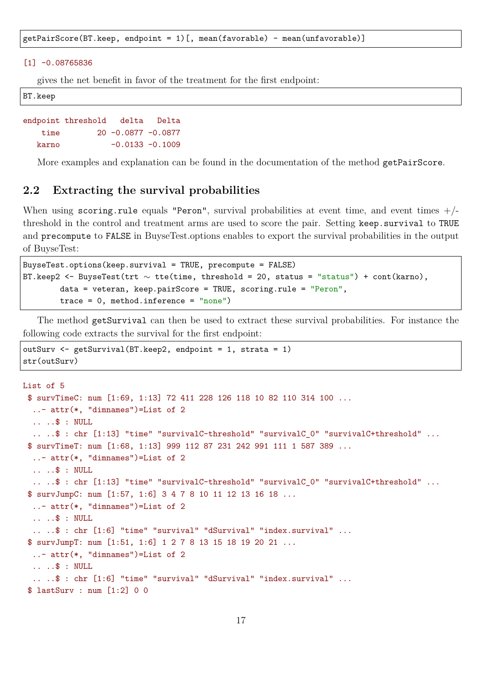getPairScore(BT.keep, endpoint = 1)[, mean(favorable) - mean(unfavorable)]

#### $[1] -0.08765836$

gives the net benefit in favor of the treatment for the first endpoint:

BT.keep

```
endpoint threshold delta Delta
   time 20 -0.0877 -0.0877
  karno -0.0133 -0.1009
```
More examples and explanation can be found in the documentation of the method getPairScore.

## **2.2 Extracting the survival probabilities**

When using scoring.rule equals "Peron", survival probabilities at event time, and event times  $+/$ threshold in the control and treatment arms are used to score the pair. Setting keep.survival to TRUE and precompute to FALSE in BuyseTest.options enables to export the survival probabilities in the output of BuyseTest:

```
BuyseTest.options(keep.survival = TRUE, precompute = FALSE)
BT.keep2 <- BuyseTest(trt ∼ tte(time, threshold = 20, status = "status") + cont(karno),
        data = veteran, keep.pairScore = TRUE, scoring.rule = "Peron",
        trace = 0, method.inference = "none")
```
The method getSurvival can then be used to extract these survival probabilities. For instance the following code extracts the survival for the first endpoint:

```
outSurv <- getSurvival(BT.keep2, endpoint = 1, strata = 1)
str(outSurv)
```

```
List of 5
 $ survTimeC: num [1:69, 1:13] 72 411 228 126 118 10 82 110 314 100 ...
  ..- attr(*, "dimnames")=List of 2
  .. ..$ : NULL
  .. ..$ : chr [1:13] "time" "survivalC-threshold" "survivalC_0" "survivalC+threshold" ...
 $ survTimeT: num [1:68, 1:13] 999 112 87 231 242 991 111 1 587 389 ...
  ..- attr(*, "dimnames")=List of 2
  .. ..$ : NULL
  .. ..$ : chr [1:13] "time" "survivalC-threshold" "survivalC_0" "survivalC+threshold" ...
 $ survJumpC: num [1:57, 1:6] 3 4 7 8 10 11 12 13 16 18 ...
  ..- attr(*, "dimnames")=List of 2
  .. ..$ : NULL
  .. ..$ : chr [1:6] "time" "survival" "dSurvival" "index.survival" ...
 $ survJumpT: num [1:51, 1:6] 1 2 7 8 13 15 18 19 20 21 ...
  ..- attr(*, "dimnames")=List of 2
  .. ..$ : NULL
  .. ..$ : chr [1:6] "time" "survival" "dSurvival" "index.survival" ...
 $ lastSurv : num [1:2] 0 0
```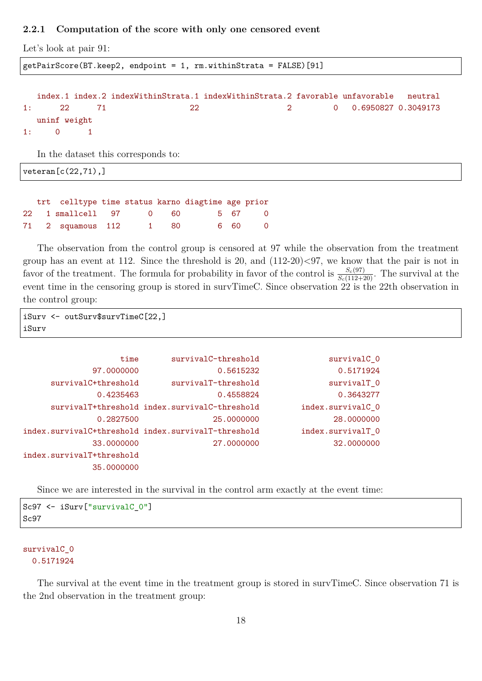#### **2.2.1 Computation of the score with only one censored event**

Let's look at pair 91:

getPairScore(BT.keep2, endpoint = 1, rm.withinStrata = FALSE)[91]

```
index.1 index.2 indexWithinStrata.1 indexWithinStrata.2 favorable unfavorable neutral
1: 22 71 22 2 0 0.6950827 0.3049173
  uninf weight
1: 0 1
```
In the dataset this corresponds to:

veteran[c(22,71),]

|  | trt celltype time status karno diagtime age prior |  |  |        |
|--|---------------------------------------------------|--|--|--------|
|  | 22 1 smallcell 97 0 60 5 67 0                     |  |  |        |
|  | 71 2 squamous 112 1 80                            |  |  | 6 60 0 |

The observation from the control group is censored at 97 while the observation from the treatment group has an event at 112. Since the threshold is 20, and (112-20)<97, we know that the pair is not in favor of the treatment. The formula for probability in favor of the control is  $\frac{S_c(97)}{S_c(112+20)}$ . The survival at the event time in the censoring group is stored in survTimeC. Since observation 22 is the 22th observation in the control group:

```
iSurv <- outSurv$survTimeC[22,]
iSurv
```

| time                                                | $survivalC-threshold$                         | survivalC <sub>0</sub> |
|-----------------------------------------------------|-----------------------------------------------|------------------------|
| 97,0000000                                          | 0.5615232                                     | 0.5171924              |
| survivalC+threshold                                 | survivalT-threshold                           | survivalT 0            |
| 0.4235463                                           | 0.4558824                                     | 0.3643277              |
|                                                     | survivalT+threshold index.survivalC-threshold | index.survivalC_0      |
| 0.2827500                                           | 25,0000000                                    | 28,0000000             |
| index.survivalC+threshold index.survivalT-threshold |                                               | index.survivalT 0      |
| 33,0000000                                          | 27,0000000                                    | 32,0000000             |
| index.survivalT+threshold                           |                                               |                        |
| 35,0000000                                          |                                               |                        |

Since we are interested in the survival in the control arm exactly at the event time:

```
Sc97 <- iSurv["survivalC_0"]
Sc97
```
#### survivalC\_0 0.5171924

The survival at the event time in the treatment group is stored in survTimeC. Since observation 71 is the 2nd observation in the treatment group: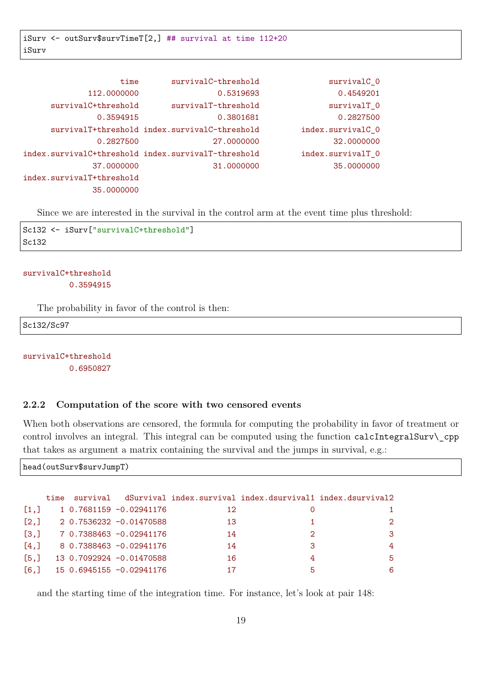| survivalC <sub>0</sub> | survivalC-threshold                           | time                                                |
|------------------------|-----------------------------------------------|-----------------------------------------------------|
| 0.4549201              | 0.5319693                                     | 112.0000000                                         |
| survivalT 0            | survivalT-threshold                           | survivalC+threshold                                 |
| 0.2827500              | 0.3801681                                     | 0.3594915                                           |
| index.survivalC_0      | survivalT+threshold index.survivalC-threshold |                                                     |
| 32,0000000             | 27,0000000                                    | 0.2827500                                           |
| index.survivalT_0      |                                               | index.survivalC+threshold index.survivalT-threshold |
| 35,0000000             | 31,0000000                                    | 37,0000000                                          |
|                        |                                               | index.survivalT+threshold                           |
|                        |                                               | 35,0000000                                          |

Since we are interested in the survival in the control arm at the event time plus threshold:

```
Sc132 <- iSurv["survivalC+threshold"]
Sc132
```
#### survivalC+threshold 0.3594915

The probability in favor of the control is then:

Sc132/Sc97

survivalC+threshold 0.6950827

#### **2.2.2 Computation of the score with two censored events**

When both observations are censored, the formula for computing the probability in favor of treatment or control involves an integral. This integral can be computed using the function calcIntegralSurv\ cpp that takes as argument a matrix containing the survival and the jumps in survival, e.g.:

```
head(outSurv$survJumpT)
```

|                    | time |                          |    |                             | survival dSurvival index.survival index.dsurvival1 index.dsurvival2 |
|--------------------|------|--------------------------|----|-----------------------------|---------------------------------------------------------------------|
| $\left[1, \right]$ |      | 1 0.7681159 -0.02941176  | 12 |                             |                                                                     |
| $\left[2, \right]$ |      | 2 0.7536232 -0.01470588  | 13 |                             | $2^{\circ}$                                                         |
| $\left[3, \right]$ |      | 7 0.7388463 -0.02941176  | 14 | $\mathcal{D}_{\mathcal{L}}$ | 3                                                                   |
| [4,]               |      | 8 0.7388463 -0.02941176  | 14 | 3                           | 4                                                                   |
| [5,]               |      | 13 0.7092924 -0.01470588 | 16 |                             | 5.                                                                  |
| [6,]               |      | 15 0.6945155 -0.02941176 |    | 5                           | 6                                                                   |

and the starting time of the integration time. For instance, let's look at pair 148: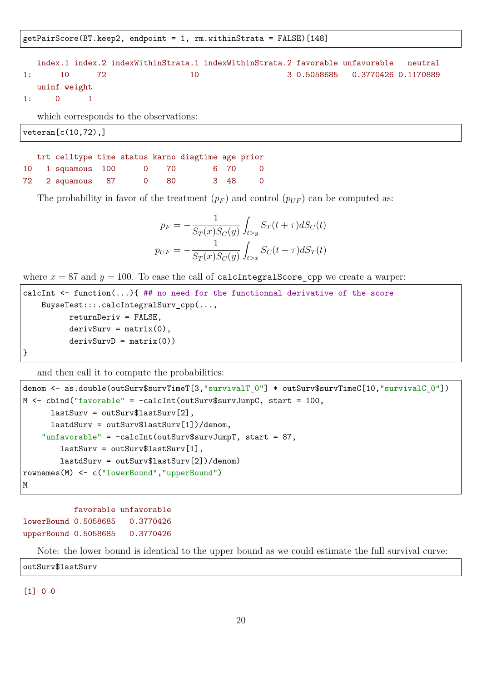getPairScore(BT.keep2, endpoint = 1, rm.withinStrata = FALSE)[148]

index.1 index.2 indexWithinStrata.1 indexWithinStrata.2 favorable unfavorable neutral 1: 10 72 10 3 0.5058685 0.3770426 0.1170889 uninf weight 1: 0 1

which corresponds to the observations:

veteran[c(10,72),]

|  |                   |                |        | trt celltype time status karno diagtime age prior |     |                |
|--|-------------------|----------------|--------|---------------------------------------------------|-----|----------------|
|  | 10 1 squamous 100 |                |        | 0 70 6 70 0                                       |     |                |
|  | 72 2 squamous 87  | $\overline{0}$ | - 80 - |                                                   | 348 | $\overline{0}$ |

The probability in favor of the treatment  $(p_F)$  and control  $(p_{UF})$  can be computed as:

$$
p_F = -\frac{1}{S_T(x)S_C(y)} \int_{t>y} S_T(t+\tau)dS_C(t)
$$

$$
p_{UF} = -\frac{1}{S_T(x)S_C(y)} \int_{t>x} S_C(t+\tau)dS_T(t)
$$

where  $x = 87$  and  $y = 100$ . To ease the call of calcIntegralScore\_cpp we create a warper:

```
calcInt \leq function(...) { ## no need for the functionnal derivative of the score
    BuyseTest:::.calcIntegralSurv_cpp(...,
          returnDeriv = FALSE,
          derivSurv = matrix(0),
          derivSurvD = matrix(0))}
```
and then call it to compute the probabilities:

```
denom <- as.double(outSurv$survTimeT[3,"survivalT_0"] * outSurv$survTimeC[10,"survivalC_0"])
M <- cbind("favorable" = -calcInt(outSurv$survJumpC, start = 100,
     lastSurv = outSurv$lastSurv[2],
     lastdSurv = outSurv$lastSurv[1])/denom,
    "unfavorable" = -calcInt(outSurv$survJumpT, start = 87,
        lastSurv = outSurv$lastSurv[1],
       lastdSurv = outSurv$lastSurv[2])/denom)
rownames(M) <- c("lowerBound","upperBound")
M
```
favorable unfavorable lowerBound 0.5058685 0.3770426 upperBound 0.5058685 0.3770426

Note: the lower bound is identical to the upper bound as we could estimate the full survival curve:

outSurv\$lastSurv

[1] 0 0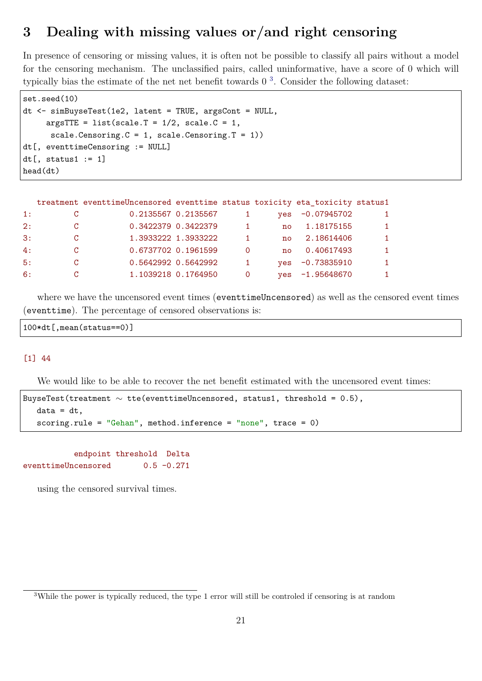# **3 Dealing with missing values or/and right censoring**

In presence of censoring or missing values, it is often not be possible to classify all pairs without a model for the censoring mechanism. The unclassified pairs, called uninformative, have a score of 0 which will typically bias the estimate of the net net benefit towards 0 [3](#page-0-0) . Consider the following dataset:

```
set.seed(10)
dt <- simBuyseTest(1e2, latent = TRUE, argsCont = NULL,
     argsTTE = list(scale.T = 1/2, scale.C = 1,scale.Censoring.C = 1, scale.Censoring.T = 1))
dt[, eventtimeCensoring := NULL]
dt[, status1 := 1]
head(dt)
```

|                  |               | treatment eventtimeUncensored eventtime status toxicity eta_toxicity status1 |                     |                |              |                   |              |
|------------------|---------------|------------------------------------------------------------------------------|---------------------|----------------|--------------|-------------------|--------------|
| $\overline{1}$ : | <sub>C</sub>  | 0.2135567 0.2135567                                                          |                     |                | ves          | -0.07945702       |              |
| 2:               | $\mathcal{C}$ | 0.3422379 0.3422379                                                          |                     | $\overline{1}$ | no           | 1.18175155        | $\mathbf{1}$ |
| $\cdot$ 3:       | <sup>C</sup>  |                                                                              | 1.3933222 1.3933222 | 1.             | no           | 2.18614406        | $\mathbf{1}$ |
| 4:               | C.            |                                                                              | 0.6737702 0.1961599 | $\Omega$       | $n_{\Omega}$ | 0.40617493        | $\mathbf{1}$ |
| 5:               | <sup>C</sup>  |                                                                              | 0.5642992 0.5642992 | $\mathbf{1}$   | ves          | $-0.73835910$     | $\mathbf{1}$ |
| 6:               | C             |                                                                              | 1.1039218 0.1764950 | $\Omega$       |              | $yes -1.95648670$ |              |

where we have the uncensored event times (eventtimeUncensored) as well as the censored event times (eventtime). The percentage of censored observations is:

```
100*dt[,mean(status==0)]
```
#### [1] 44

We would like to be able to recover the net benefit estimated with the uncensored event times:

```
BuyseTest(treatment \sim tte(eventtimeUncensored, status1, threshold = 0.5),
   data = dt,
   scoring.rule = "Gehan", method.inference = "none", trace = 0)
```
endpoint threshold Delta eventtimeUncensored 0.5 -0.271

using the censored survival times.

<sup>3</sup>While the power is typically reduced, the type 1 error will still be controled if censoring is at random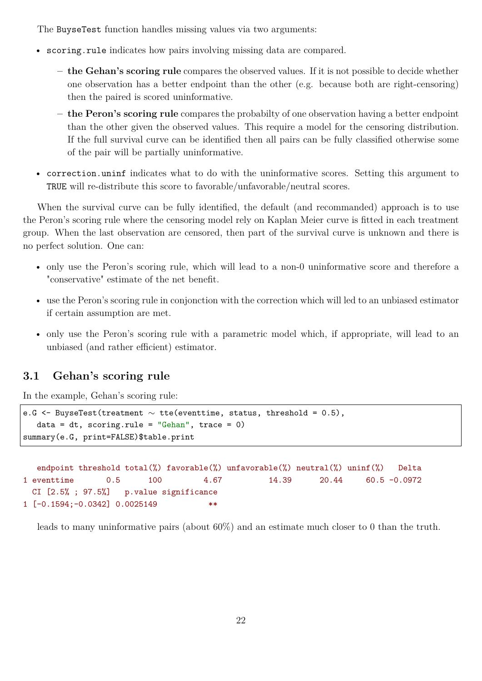The BuyseTest function handles missing values via two arguments:

- scoring.rule indicates how pairs involving missing data are compared.
	- **the Gehan's scoring rule** compares the observed values. If it is not possible to decide whether one observation has a better endpoint than the other (e.g. because both are right-censoring) then the paired is scored uninformative.
	- **the Peron's scoring rule** compares the probabilty of one observation having a better endpoint than the other given the observed values. This require a model for the censoring distribution. If the full survival curve can be identified then all pairs can be fully classified otherwise some of the pair will be partially uninformative.
- correction.uninf indicates what to do with the uninformative scores. Setting this argument to TRUE will re-distribute this score to favorable/unfavorable/neutral scores.

When the survival curve can be fully identified, the default (and recommanded) approach is to use the Peron's scoring rule where the censoring model rely on Kaplan Meier curve is fitted in each treatment group. When the last observation are censored, then part of the survival curve is unknown and there is no perfect solution. One can:

- only use the Peron's scoring rule, which will lead to a non-0 uninformative score and therefore a "conservative" estimate of the net benefit.
- use the Peron's scoring rule in conjonction with the correction which will led to an unbiased estimator if certain assumption are met.
- only use the Peron's scoring rule with a parametric model which, if appropriate, will lead to an unbiased (and rather efficient) estimator.

## **3.1 Gehan's scoring rule**

In the example, Gehan's scoring rule:

```
e.G <- BuyseTest(treatment ∼ tte(eventtime, status, threshold = 0.5),
   data = dt, scoring.rule = "Gehan", trace = 0)
summary(e.G, print=FALSE)$table.print
```

```
endpoint threshold total(%) favorable(%) unfavorable(%) neutral(%) uninf(%) Delta
1 eventtime 0.5 100 4.67 14.39 20.44 60.5 -0.0972
 CI [2.5% ; 97.5%] p.value significance
1 [-0.1594;-0.0342] 0.0025149 **
```
leads to many uninformative pairs (about 60%) and an estimate much closer to 0 than the truth.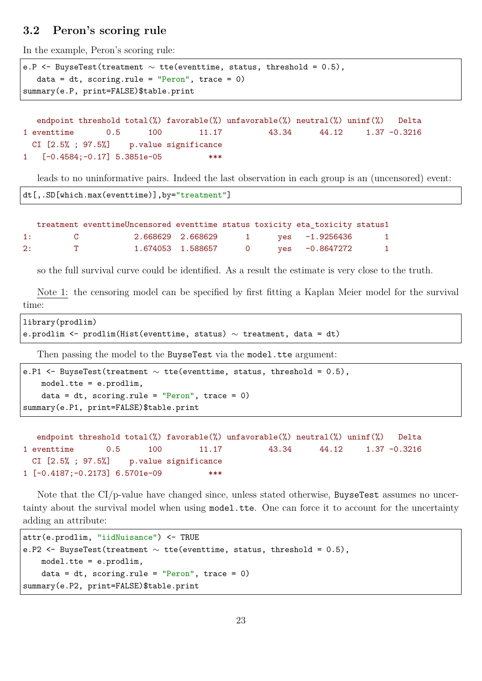## **3.2 Peron's scoring rule**

In the example, Peron's scoring rule:

```
e.P <- BuyseTest(treatment \sim tte(eventtime, status, threshold = 0.5),
   data = dt, scoring.rule = "Peron", trace = 0)
summary(e.P, print=FALSE)$table.print
```

```
endpoint threshold total(%) favorable(%) unfavorable(%) neutral(%) uninf(%) Delta
1 eventtime 0.5 100 11.17 43.34 44.12 1.37 -0.3216
 CI [2.5%; 97.5%] p.value significance
1 [-0.4584;-0.17] 5.3851e-05 ***
```
leads to no uninformative pairs. Indeed the last observation in each group is an (uncensored) event:

```
dt[,.SD[which.max(eventtime)],by="treatment"]
```

|    |              | treatment eventtimeUncensored eventtime status toxicity eta_toxicity status1 |                     |  |                  |                |
|----|--------------|------------------------------------------------------------------------------|---------------------|--|------------------|----------------|
| 1: |              |                                                                              | 2.668629 2.668629   |  | 1 ves -1.9256436 | $\mathbf{1}$   |
| 2: | $\mathbf{T}$ |                                                                              | 1.674053 1.588657 0 |  | ves -0.8647272   | $\overline{1}$ |

so the full survival curve could be identified. As a result the estimate is very close to the truth.

Note 1: the censoring model can be specified by first fitting a Kaplan Meier model for the survival time:

```
library(prodlim)
e.prodlim <- prodlim(Hist(eventtime, status) \sim treatment, data = dt)
```
Then passing the model to the BuyseTest via the model.tte argument:

```
e.P1 \leq BuyseTest(treatment \sim tte(eventtime, status, threshold = 0.5),
   model.tte = e.prodlim,
    data = dt, scoring.rule = "Peron", trace = 0)
summary(e.P1, print=FALSE)$table.print
```

```
endpoint threshold total(%) favorable(%) unfavorable(%) neutral(%) uninf(%) Delta
1 eventtime 0.5 100 11.17 43.34 44.12 1.37 -0.3216
 CI [2.5% ; 97.5%] p.value significance
1 [-0.4187;-0.2173] 6.5701e-09 ***
```
Note that the CI/p-value have changed since, unless stated otherwise, BuyseTest assumes no uncertainty about the survival model when using model.tte. One can force it to account for the uncertainty adding an attribute:

```
attr(e.prodlim, "iidNuisance") <- TRUE
e.P2 \leq BuyseTest(treatment \sim tte(eventtime, status, threshold = 0.5),
    model.tte = e.prodlim,
    data = dt, scoring.rule = "Peron", trace = 0)
summary(e.P2, print=FALSE)$table.print
```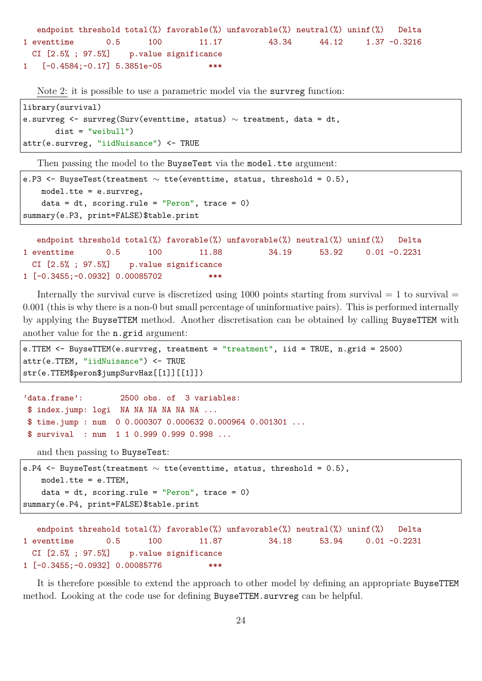```
endpoint threshold total(%) favorable(%) unfavorable(%) neutral(%) uninf(%) Delta
1 eventtime 0.5 100 11.17 43.34 44.12 1.37 -0.3216
 CI [2.5%; 97.5%] p.value significance
1 [-0.4584;-0.17] 5.3851e-05 ***
```
Note 2: it is possible to use a parametric model via the survreg function:

```
library(survival)
e.survreg <- survreg(Surv(eventtime, status) ∼ treatment, data = dt,
       dist = "weibull")attr(e.survreg, "iidNuisance") <- TRUE
```
Then passing the model to the BuyseTest via the model.tte argument:

```
e.P3 \leq BuyseTest(treatment \sim tte(eventtime, status, threshold = 0.5),
   model.tte = e.survreg,
    data = dt, scoring.rule = "Peron", trace = 0)
summary(e.P3, print=FALSE)$table.print
```

```
endpoint threshold total(%) favorable(%) unfavorable(%) neutral(%) uninf(%) Delta
1 eventtime 0.5 100 11.88 34.19 53.92 0.01 -0.2231
 CI [2.5%; 97.5%] p.value significance
1 [-0.3455;-0.0932] 0.00085702 ***
```
Internally the survival curve is discretized using 1000 points starting from survival  $= 1$  to survival  $=$ 0.001 (this is why there is a non-0 but small percentage of uninformative pairs). This is performed internally by applying the BuyseTTEM method. Another discretisation can be obtained by calling BuyseTTEM with another value for the n.grid argument:

```
e.TTEM <- BuyseTTEM(e.survreg, treatment = "treatment", iid = TRUE, n.grid = 2500)
attr(e.TTEM, "iidNuisance") <- TRUE
str(e.TTEM$peron$jumpSurvHaz[[1]][[1]])
```

```
'data.frame': 2500 obs. of 3 variables:
$ index.jump: logi NA NA NA NA NA NA ...
$ time.jump : num 0 0.000307 0.000632 0.000964 0.001301 ...
$ survival : num 1 1 0.999 0.999 0.998 ...
```
and then passing to BuyseTest:

```
e.P4 \leq BuyseTest(treatment \sim tte(eventtime, status, threshold = 0.5),
   model.tte = e.TTEM,
   data = dt, scoring.rule = "Peron", trace = 0)
summary(e.P4, print=FALSE)$table.print
```

```
endpoint threshold total(%) favorable(%) unfavorable(%) neutral(%) uninf(%) Delta
1 eventtime 0.5 100 11.87 34.18 53.94 0.01 -0.2231
 CI [2.5\% : 97.5\%] p.value significance
1 [-0.3455;-0.0932] 0.00085776 ***
```
It is therefore possible to extend the approach to other model by defining an appropriate BuyseTTEM method. Looking at the code use for defining BuyseTTEM. survreg can be helpful.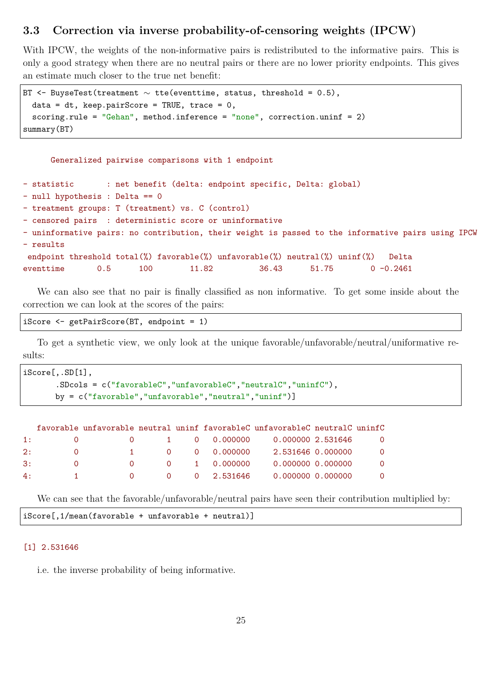## **3.3 Correction via inverse probability-of-censoring weights (IPCW)**

With IPCW, the weights of the non-informative pairs is redistributed to the informative pairs. This is only a good strategy when there are no neutral pairs or there are no lower priority endpoints. This gives an estimate much closer to the true net benefit:

```
BT \leq BuyseTest(treatment \sim tte(eventtime, status, threshold = 0.5),
  data = dt, keep.pairScore = TRUE, trace = 0,
  scoring.rule = "Gehan", method.inference = "none", correction.uninf = 2)
summary(BT)
```

```
Generalized pairwise comparisons with 1 endpoint
```
- statistic : net benefit (delta: endpoint specific, Delta: global)

- null hypothesis : Delta == 0
- treatment groups: T (treatment) vs. C (control)
- censored pairs : deterministic score or uninformative

- uninformative pairs: no contribution, their weight is passed to the informative pairs using IPCW - results

endpoint threshold total(%) favorable(%) unfavorable(%) neutral(%) uninf(%) Delta eventtime 0.5 100 11.82 36.43 51.75 0 -0.2461

We can also see that no pair is finally classified as non informative. To get some inside about the correction we can look at the scores of the pairs:

```
iScore <- getPairScore(BT, endpoint = 1)
```
To get a synthetic view, we only look at the unique favorable/unfavorable/neutral/uniformative results:

```
iScore[,.SD[1],
       .SDcols = c("favorableC","unfavorableC","neutralC","uninfC"),
       by = c("favorable","unfavorable","neutral","uninf")]
```

|            |          |                      |              | favorable unfavorable neutral uninf favorableC unfavorableC neutralC uninfC |                |
|------------|----------|----------------------|--------------|-----------------------------------------------------------------------------|----------------|
| 1:         |          | $\overline{0}$       | 1 0 0.000000 | 0.000000 2.531646                                                           | $\overline{O}$ |
| 2:         | $\Omega$ | $\sim$ 1             | 0 0.000000   | 2.531646 0.000000                                                           | $\Omega$       |
| $\cdot$ 3: | $\Omega$ | $\Omega$<br>$\Omega$ | 1 0.000000   | 0.000000 0.000000                                                           | $\Omega$       |
| 4:         |          | $\Omega$<br>$\Omega$ | 0 2.531646   | 0.000000 0.000000                                                           | $\overline{0}$ |

We can see that the favorable/unfavorable/neutral pairs have seen their contribution multiplied by:

iScore[,1/mean(favorable + unfavorable + neutral)]

#### [1] 2.531646

i.e. the inverse probability of being informative.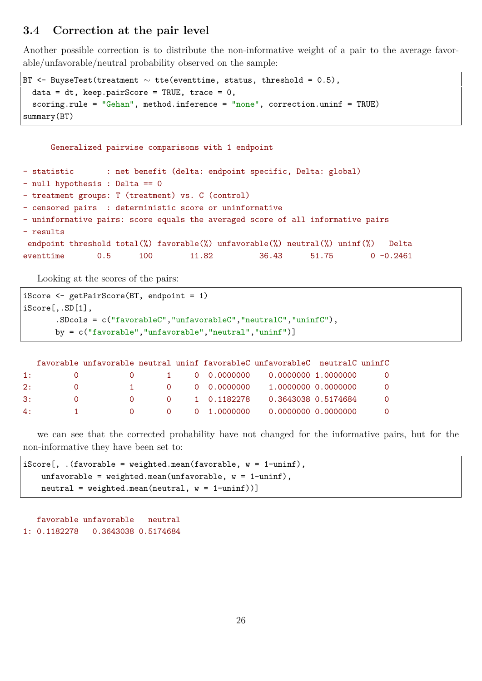## **3.4 Correction at the pair level**

Another possible correction is to distribute the non-informative weight of a pair to the average favorable/unfavorable/neutral probability observed on the sample:

```
BT \leq BuyseTest(treatment \sim tte(eventtime, status, threshold = 0.5),
 data = dt, keep.pairScore = TRUE, trace = 0,
  scoring.rule = "Gehan", method.inference = "none", correction.uninf = TRUE)
summary(BT)
```
Generalized pairwise comparisons with 1 endpoint

| - statistic |                                                         |                                                   |       |  |       | : net benefit (delta: endpoint specific, Delta: global)                         |  |              |  |  |  |
|-------------|---------------------------------------------------------|---------------------------------------------------|-------|--|-------|---------------------------------------------------------------------------------|--|--------------|--|--|--|
|             |                                                         | - null hypothesis : Delta == 0                    |       |  |       |                                                                                 |  |              |  |  |  |
|             |                                                         | - treatment groups: T (treatment) vs. C (control) |       |  |       |                                                                                 |  |              |  |  |  |
|             | - censored pairs : deterministic score or uninformative |                                                   |       |  |       |                                                                                 |  |              |  |  |  |
|             |                                                         |                                                   |       |  |       | - uninformative pairs: score equals the averaged score of all informative pairs |  |              |  |  |  |
| - results   |                                                         |                                                   |       |  |       |                                                                                 |  |              |  |  |  |
|             |                                                         |                                                   |       |  |       | endpoint threshold total(%) favorable(%) unfavorable(%) neutral(%) uninf(%)     |  | Delta        |  |  |  |
| eventtime   | 0.5                                                     | 100 -                                             | 11.82 |  | 36.43 | 51.75                                                                           |  | $0 - 0.2461$ |  |  |  |

Looking at the scores of the pairs:

```
iScore <- getPairScore(BT, endpoint = 1)
iScore[,.SD[1],
       .SDcols = c("favorableC","unfavorableC","neutralC","uninfC"),
       by = c("favorable","unfavorable","neutral","uninf")]
```

|            |          |          |          |               | favorable unfavorable neutral uninf favorableC unfavorableC neutralC uninfC |                |
|------------|----------|----------|----------|---------------|-----------------------------------------------------------------------------|----------------|
| 1:         |          |          |          |               | $1 \qquad 0 \quad 0.0000000 \qquad 0.0000000 \quad 1.0000000$               | $\overline{0}$ |
| 2:         | $\Omega$ |          | $\sim$ 1 | 0 0 0.0000000 | 1.0000000 0.0000000                                                         | - റ            |
| $\cdot$ 3: | $\Omega$ |          | $\Omega$ | 0 1 0.1182278 | 0.3643038 0.5174684                                                         | $\Omega$       |
| 4:         |          | $\Omega$ |          |               | $0 \qquad 0 \qquad 1.0000000 \qquad 0.0000000 \qquad 0.0000000$             | $\overline{O}$ |

we can see that the corrected probability have not changed for the informative pairs, but for the non-informative they have been set to:

```
iScore[, .(favorable = weighted mean(favorable, w = 1-uninf),unfavorable = weighted.mean(unfavorable, w = 1-uninf),
   neutral = weighted.mean(neutral, w = 1-uninf))]
```
favorable unfavorable neutral 1: 0.1182278 0.3643038 0.5174684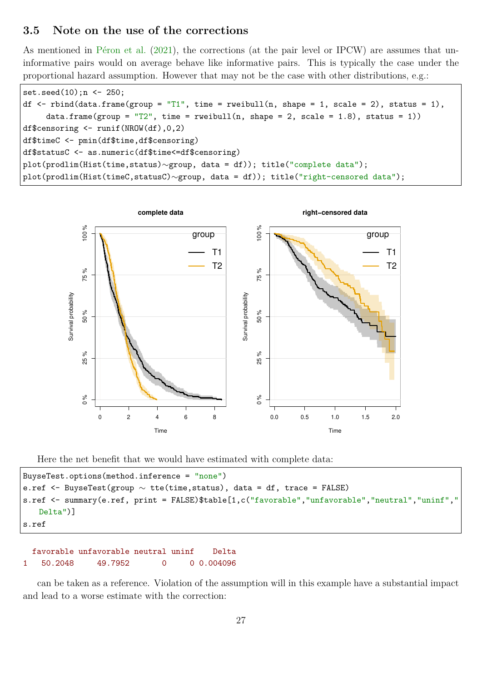## **3.5 Note on the use of the corrections**

As mentioned in [Péron et al.](#page-32-3) [\(2021\)](#page-32-3), the corrections (at the pair level or IPCW) are assumes that uninformative pairs would on average behave like informative pairs. This is typically the case under the proportional hazard assumption. However that may not be the case with other distributions, e.g.:

```
set.seed(10);n <- 250;
df \le rbind(data.frame(group = "T1", time = rweibull(n, shape = 1, scale = 2), status = 1),
     data.frame(group = T2", time = rweibull(n, shape = 2, scale = 1.8), status = 1))
df$censoring <- runif(NROW(df),0,2)
df$timeC <- pmin(df$time,df$censoring)
df$statusC <- as.numeric(df$time<=df$censoring)
plot(prodlim(Hist(time,status)∼group, data = df)); title("complete data");
plot(prodlim(Hist(timeC,statusC)∼group, data = df)); title("right-censored data");
```


Here the net benefit that we would have estimated with complete data:

```
BuyseTest.options(method.inference = "none")
e.ref <- BuyseTest(group \sim tte(time, status), data = df, trace = FALSE)
s.ref <- summary(e.ref, print = FALSE)$table[1,c("favorable","unfavorable","neutral","uninf","
   Delta")]
s.ref
```

```
favorable unfavorable neutral uninf Delta
1 50.2048 49.7952 0 0 0.004096
```
can be taken as a reference. Violation of the assumption will in this example have a substantial impact and lead to a worse estimate with the correction: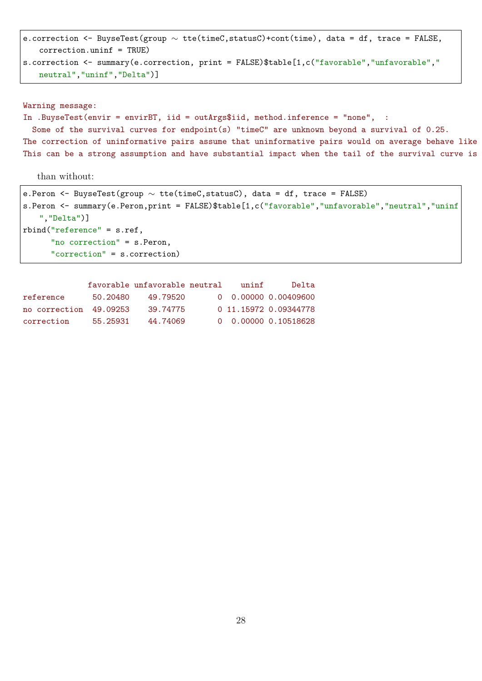```
e.correction <- BuyseTest(group ∼ tte(timeC,statusC)+cont(time), data = df, trace = FALSE,
   correction.uninf = TRUE)
s.correction <- summary(e.correction, print = FALSE)$table[1,c("favorable","unfavorable","
   neutral","uninf","Delta")]
```

```
Warning message:
In .BuyseTest(envir = envirBT, iid = outArgs$iid, method.inference = "none", :
 Some of the survival curves for endpoint(s) "timeC" are unknown beyond a survival of 0.25.
The correction of uninformative pairs assume that uninformative pairs would on average behave like
This can be a strong assumption and have substantial impact when the tail of the survival curve is
```
than without:

```
e.Peron <- BuyseTest(group ∼ tte(timeC,statusC), data = df, trace = FALSE)
s.Peron <- summary(e.Peron,print = FALSE)$table[1,c("favorable","unfavorable","neutral","uninf
   ","Delta")]
rbind("reference" = s.ref,
      "no correction" = s. Peron,
      "correction" = s.correction)
```

|                        |          | favorable unfavorable neutral | $\mathbf{u}$ n in f | Delta                 |
|------------------------|----------|-------------------------------|---------------------|-----------------------|
| reference              | 50.20480 | 49.79520                      |                     |                       |
| no correction 49.09253 |          | 39.74775                      |                     | 0 11.15972 0.09344778 |
| correction             | 55.25931 | 44.74069                      |                     | 0 0.00000 0.10518628  |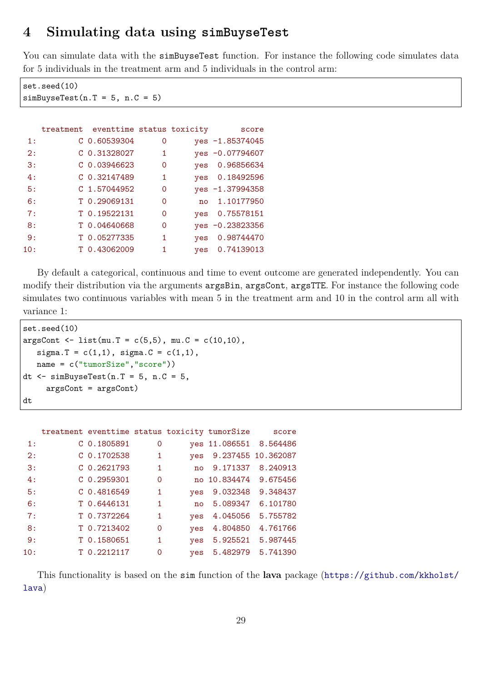# **4 Simulating data using simBuyseTest**

You can simulate data with the simBuyseTest function. For instance the following code simulates data for 5 individuals in the treatment arm and 5 individuals in the control arm:

set.seed(10)  $simBayserTest(n.T = 5, n.C = 5)$ 

|     | treatment eventtime status toxicity |   |                | score           |
|-----|-------------------------------------|---|----------------|-----------------|
| 1:  | $C$ 0.60539304                      | 0 |                | yes -1.85374045 |
| 2:  | C 0.31328027                        | 1 |                | yes -0.07794607 |
| 3:  | $C$ 0.03946623                      | 0 | yes            | 0.96856634      |
| 4:  | $C$ 0.32147489                      | 1 | ves            | 0.18492596      |
| 5:  | C 1.57044952                        | 0 |                | yes -1.37994358 |
| 6:  | T 0.29069131                        | 0 | n <sub>0</sub> | 1.10177950      |
| 7:  | T 0.19522131                        | 0 | yes            | 0.75578151      |
| 8:  | T 0.04640668                        | 0 |                | yes -0.23823356 |
| 9:  | T 0.05277335                        | 1 | yes            | 0.98744470      |
| 10: | T 0.43062009                        |   | yes            | 0.74139013      |

By default a categorical, continuous and time to event outcome are generated independently. You can modify their distribution via the arguments argsBin, argsCont, argsTTE. For instance the following code simulates two continuous variables with mean 5 in the treatment arm and 10 in the control arm all with variance 1:

```
set.seed(10)
argsCont < - list(mu.T = c(5,5), mu.C = c(10,10),sigma.T = c(1,1), sigma.C = c(1,1),
   name = c("tumorSize","score"))
dt \leq simBuyseTest(n.T = 5, n.C = 5,
     argsCont = argsCont)
dt
```

|     | treatment eventtime status toxicity tumorSize score |                |              |                        |                    |
|-----|-----------------------------------------------------|----------------|--------------|------------------------|--------------------|
| 1:  | C 0.1805891                                         | $\mathbf 0$    |              | yes 11.086551 8.564486 |                    |
| 2:  | $C$ 0.1702538                                       | 1              | ves          |                        | 9.237455 10.362087 |
| 3:  | $C$ 0.2621793                                       | $\overline{1}$ | no           | 9.171337               | 8.240913           |
| 4:  | $C$ 0.2959301                                       | $\mathbf{O}$   |              | no 10.834474           | 9.675456           |
| 5:  | $C$ 0.4816549                                       | $\mathbf{1}$   | <b>ves</b>   | 9.032348               | 9.348437           |
| 6:  | T 0.6446131                                         | $\mathbf{1}$   | $n_{\Omega}$ | 5.089347               | 6.101780           |
| 7:  | T 0.7372264                                         | $\mathbf{1}$   | <b>ves</b>   | 4.045056               | 5.755782           |
| 8:  | T 0.7213402                                         | $\mathbf 0$    | yes          | 4.804850               | 4.761766           |
| 9:  | T 0.1580651                                         | $\mathbf{1}$   | <b>ves</b>   | 5.925521               | 5.987445           |
| 10: | T 0.2212117                                         | $\Omega$       | <b>ves</b>   | 5.482979               | 5.741390           |

This functionality is based on the sim function of the **lava** package ([https://github.com/kkholst/](https://github.com/kkholst/lava) [lava](https://github.com/kkholst/lava))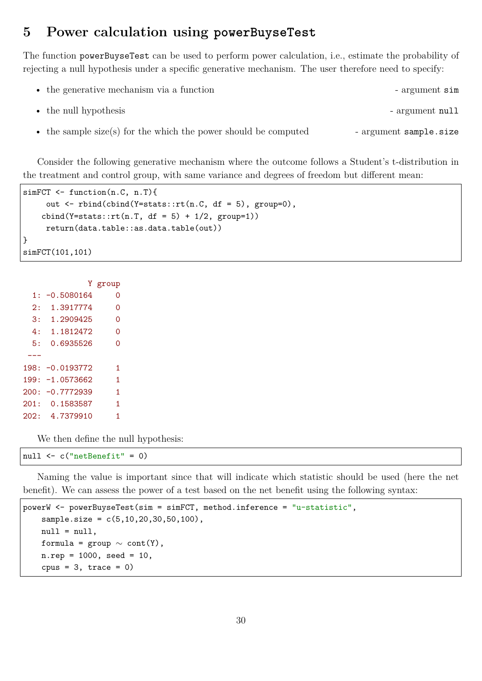## **5 Power calculation using powerBuyseTest**

The function powerBuyseTest can be used to perform power calculation, i.e., estimate the probability of rejecting a null hypothesis under a specific generative mechanism. The user therefore need to specify:

| • the generative mechanism via a function                       | - argument sim         |
|-----------------------------------------------------------------|------------------------|
| • the null hypothesis                                           | - argument null        |
| • the sample size(s) for the which the power should be computed | - argument sample.size |

Consider the following generative mechanism where the outcome follows a Student's t-distribution in the treatment and control group, with same variance and degrees of freedom but different mean:

```
simFCT <- function(n.C, n.T){
     out \le rbind(cbind(Y=stats::rt(n.C, df = 5), group=0),
    cbind(Y=stats::rt(n.T, df = 5) + 1/2, group=1))
     return(data.table::as.data.table(out))
}
simFCT(101,101)
```
Y group 1: -0.5080164 0 2: 1.3917774 0 3: 1.2909425 0 4: 1.1812472 0 5: 0.6935526 0 --- 198: -0.0193772 1 199: -1.0573662 1 200: -0.7772939 1 201: 0.1583587 1 202: 4.7379910 1

We then define the null hypothesis:

null <- c("netBenefit" = 0)

Naming the value is important since that will indicate which statistic should be used (here the net benefit). We can assess the power of a test based on the net benefit using the following syntax:

```
powerW <- powerBuyseTest(sim = simFCT, method.inference = "u-statistic",
    sample.size = c(5, 10, 20, 30, 50, 100),
    null = null,formula = \text{group} \sim \text{cont}(Y),
    n. rep = 1000, seed = 10,cpus = 3, trace = 0)
```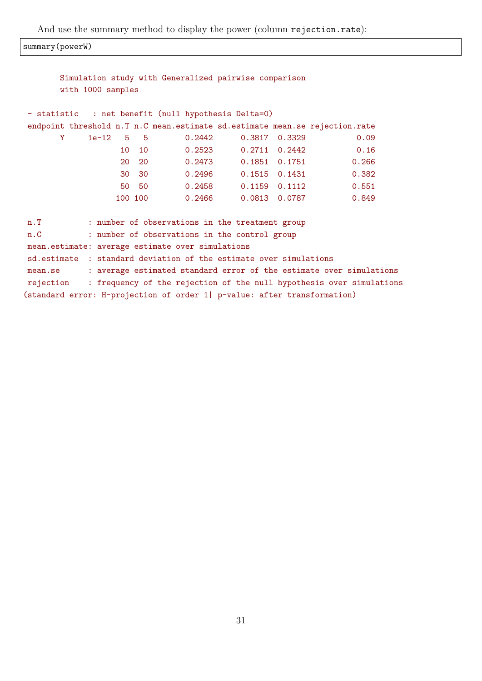And use the summary method to display the power (column rejection.rate):

summary(powerW)

|           |                   |    |         | Simulation study with Generalized pairwise comparison                    |                            |                 |                                                                             |  |
|-----------|-------------------|----|---------|--------------------------------------------------------------------------|----------------------------|-----------------|-----------------------------------------------------------------------------|--|
|           | with 1000 samples |    |         |                                                                          |                            |                 |                                                                             |  |
|           |                   |    |         |                                                                          |                            |                 |                                                                             |  |
|           |                   |    |         | - statistic : net benefit (null hypothesis Delta=0)                      |                            |                 |                                                                             |  |
|           |                   |    |         |                                                                          |                            |                 | endpoint threshold n.T n.C mean.estimate sd.estimate mean.se rejection.rate |  |
| Y.        | $1e-12$ 5 5       |    |         | 0.2442                                                                   |                            | $0.3817$ 0.3329 | 0.09                                                                        |  |
|           |                   | 10 | 10      | 0.2523                                                                   |                            | 0.2711 0.2442   | 0.16                                                                        |  |
|           |                   |    | 20 20   |                                                                          | $0.2473$ $0.1851$ $0.1751$ |                 | 0.266                                                                       |  |
|           |                   |    | 30 30   |                                                                          | $0.2496$ $0.1515$ $0.1431$ |                 | 0.382                                                                       |  |
|           |                   |    | 50 50   |                                                                          | $0.2458$ $0.1159$ $0.1112$ |                 | 0.551                                                                       |  |
|           |                   |    | 100 100 | 0.2466                                                                   |                            | 0.0813 0.0787   | 0.849                                                                       |  |
|           |                   |    |         |                                                                          |                            |                 |                                                                             |  |
| n.T       |                   |    |         | : number of observations in the treatment group                          |                            |                 |                                                                             |  |
| n.C       |                   |    |         | : number of observations in the control group                            |                            |                 |                                                                             |  |
|           |                   |    |         | mean.estimate: average estimate over simulations                         |                            |                 |                                                                             |  |
|           |                   |    |         | sd.estimate : standard deviation of the estimate over simulations        |                            |                 |                                                                             |  |
| mean.se   |                   |    |         |                                                                          |                            |                 | : average estimated standard error of the estimate over simulations         |  |
| rejection |                   |    |         |                                                                          |                            |                 | : frequency of the rejection of the null hypothesis over simulations        |  |
|           |                   |    |         | (standard error: H-projection of order 1  p-value: after transformation) |                            |                 |                                                                             |  |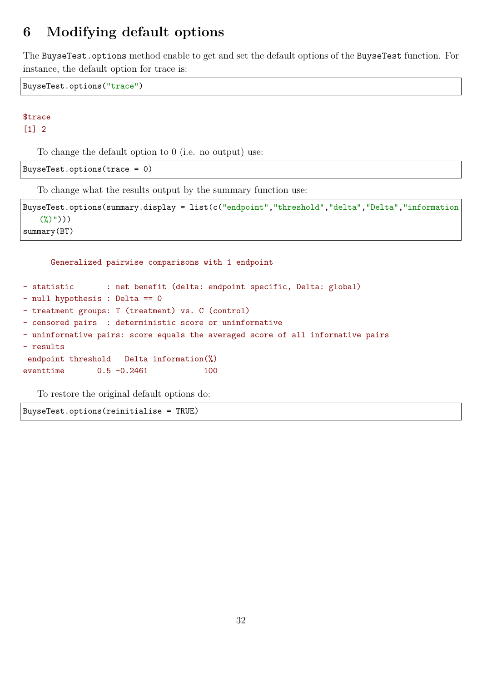# **6 Modifying default options**

The BuyseTest.options method enable to get and set the default options of the BuyseTest function. For instance, the default option for trace is:

BuyseTest.options("trace")

# \$trace

[1] 2

To change the default option to 0 (i.e. no output) use:

BuyseTest.options(trace = 0)

To change what the results output by the summary function use:

```
BuyseTest.options(summary.display = list(c("endpoint","threshold","delta","Delta","information
   (\%)")))
summary(BT)
```

```
Generalized pairwise comparisons with 1 endpoint
- statistic : net benefit (delta: endpoint specific, Delta: global)
- null hypothesis : Delta == 0
- treatment groups: T (treatment) vs. C (control)
- censored pairs : deterministic score or uninformative
- uninformative pairs: score equals the averaged score of all informative pairs
- results
endpoint threshold Delta information(%)
eventtime 0.5 -0.2461 100
```
To restore the original default options do:

BuyseTest.options(reinitialise = TRUE)